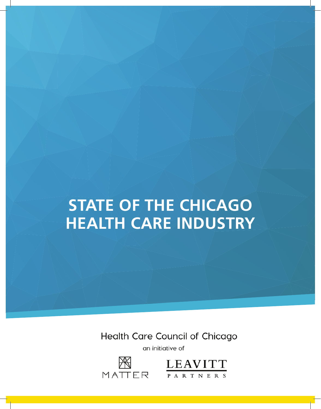# **STATE OF THE CHICAGO HEALTH CARE INDUSTRY**

Health Care Council of Chicago

an initiative of



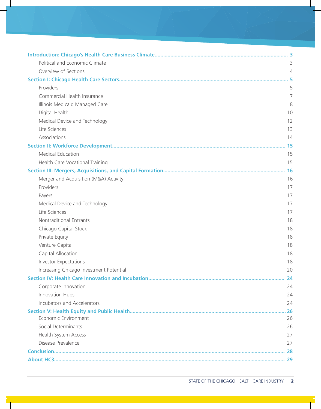| Political and Economic Climate          | 3         |
|-----------------------------------------|-----------|
| Overview of Sections                    | 4         |
|                                         |           |
| Providers                               | 5         |
| Commercial Health Insurance             | 7         |
| Illinois Medicaid Managed Care          | 8         |
| Digital Health                          | 10        |
| Medical Device and Technology           | 12        |
| Life Sciences                           | 13        |
| Associations                            | 14        |
|                                         |           |
| Medical Education                       | 15        |
| Health Care Vocational Training         | 15        |
|                                         | <b>16</b> |
| Merger and Acquisition (M&A) Activity   | 16        |
| Providers                               | 17        |
| Payers                                  | 17        |
| Medical Device and Technology           | 17        |
| Life Sciences                           | 17        |
| Nontraditional Entrants                 | 18        |
| Chicago Capital Stock                   | 18        |
| Private Equity                          | 18        |
| Venture Capital                         | 18        |
| Capital Allocation                      | 18        |
| <b>Investor Expectations</b>            | 18        |
| Increasing Chicago Investment Potential | 20        |
|                                         |           |
| Corporate Innovation                    | 24        |
| Innovation Hubs                         | 24        |
| Incubators and Accelerators             | 24        |
|                                         |           |
| Economic Environment                    | 26        |
| Social Determinants                     | 26        |
| Health System Access                    | 27        |
| Disease Prevalence                      | 27        |
|                                         |           |
|                                         |           |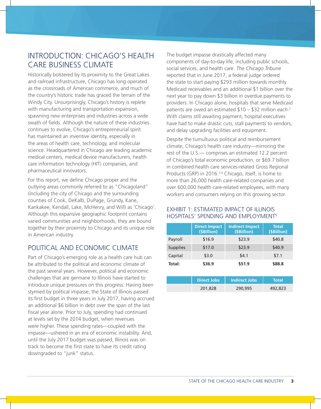# INTRODUCTION: CHICAGO'S HEALTH CARE BUSINESS CLIMATE

Historically bolstered by its proximity to the Great Lakes and railroad infrastructure, Chicago has long operated as the crossroads of American commerce, and much of the country's historic trade has graced the terrain of the Windy City. Unsurprisingly, Chicago's history is replete with manufacturing and transportation expansion, spawning new enterprises and industries across a wide swath of fields. Although the nature of these industries continues to evolve, Chicago's entrepreneurial spirit has maintained an inventive identity, especially in the areas of health care, technology, and molecular science. Headquartered in Chicago are leading academic medical centers, medical device manufacturers, health care information technology (HIT) companies, and pharmaceutical innovators.

For this report, we define Chicago proper and the outlying areas commonly referred to as "Chicagoland" (including the city of Chicago and the surrounding counties of Cook, DeKalb, DuPage, Grundy, Kane, Kankakee, Kendall, Lake, McHenry, and Will) as 'Chicago'. Although this expansive geographic footprint contains varied communities and neighborhoods, they are bound together by their proximity to Chicago and its unique role in American industry.

# POLITICAL AND ECONOMIC CLIMATE

Part of Chicago's emerging role as a health care hub can be attributed to the political and economic climate of the past several years. However, political and economic challenges that are germane to Illinois have started to introduce unique pressures on this progress. Having been stymied by political impasse, the State of Illinois passed its first budget in three years in July 2017, having accrued an additional \$6 billion in debt over the span of the last fiscal year alone. Prior to July, spending had continued at levels set by the 2014 budget, when revenues were higher. These spending rates—coupled with the impasse—ushered in an era of economic instability. And, until the July 2017 budget was passed, Illinois was on track to become the first state to have its credit rating downgraded to "junk" status.

The budget impasse drastically affected many components of day-to-day life, including public schools, social services, and health care. *The Chicago Tribune* reported that in June 2017, a federal judge ordered the state to start paying \$293 million towards monthly Medicaid receivables and an additional \$1 billion over the next year to pay down \$3 billion in overdue payments to providers. In Chicago alone, hospitals that serve Medicaid patients are owed an estimated \$10 – \$32 million *each*. 2 With claims still awaiting payment, hospital executives have had to make drastic cuts, stall payments to vendors, and delay upgrading facilities and equipment.

Despite the tumultuous political and reimbursement climate, Chicago's health care industry—mirroring the rest of the U.S.— comprises an estimated 12.2 percent of Chicago's total economic production, or \$69.7 billion in combined health care services-related Gross Regional Products (GRP) in 2016.<sup>3,4</sup> Chicago, itself, is home to more than 26,000 health care-related companies and over 600,000 health care-related employees, with many workers and consumers relying on this growing sector.

### EXHIBIT 1: ESTIMATED IMPACT OF ILLINOIS HOSPITALS' SPENDING AND EMPLOYMENT5

|                 | <b>Direct Impact</b><br>(\$Billion) | <b>Indirect Impact</b><br>(SBillion) | <b>Total</b><br>(\$Billion) |
|-----------------|-------------------------------------|--------------------------------------|-----------------------------|
| Payroll         | \$16.9                              | \$23.9                               | \$40.8                      |
| <b>Supplies</b> | \$17.0                              | \$23.9                               | \$40.9                      |
| Capital         | \$3.0                               | \$4.1                                | \$7.1                       |
| Total:          | \$36.9                              | \$51.9                               | \$88.8                      |

| <b>Direct Jobs</b> | <b>Indirect Jobs</b> | Notal   |
|--------------------|----------------------|---------|
| 201,828            | 290,995              | 492,823 |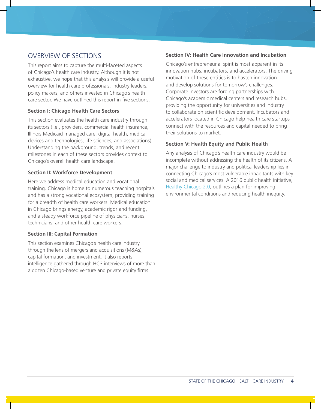# OVERVIEW OF SECTIONS

This report aims to capture the multi-faceted aspects of Chicago's health care industry. Although it is not exhaustive, we hope that this analysis will provide a useful overview for health care professionals, industry leaders, policy makers, and others invested in Chicago's health care sector. We have outlined this report in five sections:

#### **Section I: Chicago Health Care Sectors**

This section evaluates the health care industry through its sectors (i.e., providers, commercial health insurance, Illinois Medicaid managed care, digital health, medical devices and technologies, life sciences, and associations). Understanding the background, trends, and recent milestones in each of these sectors provides context to Chicago's overall health care landscape.

#### **Section II: Workforce Development**

Here we address medical education and vocational training. Chicago is home to numerous teaching hospitals and has a strong vocational ecosystem, providing training for a breadth of health care workers. Medical education in Chicago brings energy, academic rigor and funding, and a steady workforce pipeline of physicians, nurses, technicians, and other health care workers.

#### **Section III: Capital Formation**

This section examines Chicago's health care industry through the lens of mergers and acquisitions (M&As), capital formation, and investment. It also reports intelligence gathered through HC3 interviews of more than a dozen Chicago-based venture and private equity firms.

#### **Section IV: Health Care Innovation and Incubation**

Chicago's entrepreneurial spirit is most apparent in its innovation hubs, incubators, and accelerators. The driving motivation of these entities is to hasten innovation and develop solutions for tomorrow's challenges. Corporate investors are forging partnerships with Chicago's academic medical centers and research hubs, providing the opportunity for universities and industry to collaborate on scientific development. Incubators and accelerators located in Chicago help health care startups connect with the resources and capital needed to bring their solutions to market.

### **Section V: Health Equity and Public Health**

Any analysis of Chicago's health care industry would be incomplete without addressing the health of its citizens. A major challenge to industry and political leadership lies in connecting Chicago's most vulnerable inhabitants with key social and medical services. A 2016 public health initiative, Healthy Chicago 2.0, outlines a plan for improving environmental conditions and reducing health inequity.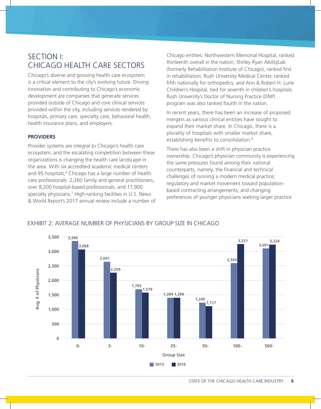# SECTION I: CHICAGO HEALTH CARE SECTORS

Chicago's diverse and growing health care ecosystem is a critical element to the city's evolving future. Driving innovation and contributing to Chicago's economic development are companies that generate services provided outside of Chicago and core clinical services provided within the city, including services rendered by hospitals, primary care, specialty care, behavioral health, health insurance plans, and employers.

#### **PROVIDERS**

Provider systems are integral to Chicago's health care ecosystem, and the escalating competition between these organizations is changing the health care landscape in the area. With six accredited academic medical centers and 95 hospitals,<sup>6</sup> Chicago has a large number of health care professionals: 2,260 family and general practitioners, over 8,200 hospital-based professionals, and 17,900 specialty physicians.<sup>7</sup> High-ranking facilities in U.S. News & World Report's 2017 annual review include a number of Chicago entities: Northwestern Memorial Hospital, ranked thirteenth overall in the nation; Shirley Ryan AbilityLab (formerly Rehabilitation Institute of Chicago), ranked first in rehabilitation; Rush University Medical Center, ranked fifth nationally for orthopedics; and Ann & Robert H. Lurie Children's Hospital, tied for seventh in children's hospitals. Rush University's Doctor of Nursing Practice (DNP) program was also ranked fourth in the nation.

In recent years, there has been an increase of proposed mergers as various clinical entities have sought to expand their market share. In Chicago, there is a plurality of hospitals with smaller market share, establishing benefits to consolidation.<sup>8</sup>

There has also been a shift in physician practice ownership. Chicago's physician community is experiencing the same pressures found among their national counterparts, namely, the financial and technical challenges of running a modern medical practice; regulatory and market movement toward populationbased contracting arrangements; and changing preferences of younger physicians seeking larger practice

#### EXHIBIT 2: AVERAGE NUMBER OF PHYSICIANS BY GROUP SIZE IN CHICAGO



STATE OF THE CHICAGO HEALTH CARE INDUSTRY 5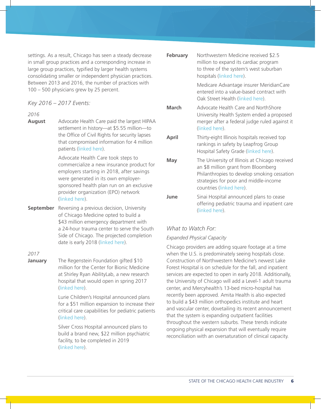settings. As a result, Chicago has seen a steady decrease in small group practices and a corresponding increase in large group practices, typified by larger health systems consolidating smaller or independent physician practices. Between 2013 and 2016, the number of practices with 100 – 500 physicians grew by 25 percent.

#### *Key 2016 – 2017 Events:*

#### *2016*

**August** Advocate Health Care paid the largest HIPAA settlement in history—at \$5.55 million—to the Office of Civil Rights for security lapses that compromised information for 4 million patients (linked here).

> Advocate Health Care took steps to commercialize a new insurance product for employers starting in 2018, after savings were generated in its own employersponsored health plan run on an exclusive provider organization (EPO) network (linked here).

**September** Reversing a previous decision, University of Chicago Medicine opted to build a \$43 million emergency department with a 24-hour trauma center to serve the South Side of Chicago. The projected completion date is early 2018 (linked here).

#### *2017*

**January** The Regenstein Foundation gifted \$10 million for the Center for Bionic Medicine at Shirley Ryan AbilityLab, a new research hospital that would open in spring 2017 (linked here).

> Lurie Children's Hospital announced plans for a \$51 million expansion to increase their critical care capabilities for pediatric patients (linked here).

Silver Cross Hospital announced plans to build a brand new, \$22 million psychiatric facility, to be completed in 2019 (linked here).

| February | Northwestern Medicine received \$2.5<br>million to expand its cardiac program<br>to three of the system's west suburban<br>hospitals (linked here).                                                       |
|----------|-----------------------------------------------------------------------------------------------------------------------------------------------------------------------------------------------------------|
|          | Medicare Advantage insurer MeridianCare<br>entered into a value-based contract with<br>Oak Street Health (linked here).                                                                                   |
| March    | Advocate Health Care and NorthShore<br>University Health System ended a proposed<br>merger after a federal judge ruled against it<br>(linked here).                                                       |
| April    | Thirty-eight Illinois hospitals received top<br>rankings in safety by Leapfrog Group<br>Hospital Safety Grade (linked here).                                                                              |
| May      | The University of Illinois at Chicago received<br>an \$8 million grant from Bloomberg<br>Philanthropies to develop smoking cessation<br>strategies for poor and middle-income<br>countries (linked here). |
| June     | Sinai Hospital announced plans to cease<br>offering pediatric trauma and inpatient care<br>(linked here).                                                                                                 |

### *What to Watch For:*

#### *Expanded Physical Capacity*

Chicago providers are adding square footage at a time when the U.S. is predominately seeing hospitals close. Construction of Northwestern Medicine's newest Lake Forest Hospital is on schedule for the fall, and inpatient services are expected to open in early 2018. Additionally, the University of Chicago will add a Level-1 adult trauma center, and Mercyhealth's 13-bed micro-hospital has recently been approved. Amita Health is also expected to build a \$43 million orthopedics institute and heart and vascular center, dovetailing its recent announcement that the system is expanding outpatient facilities throughout the western suburbs. These trends indicate ongoing physical expansion that will eventually require reconciliation with an oversaturation of clinical capacity.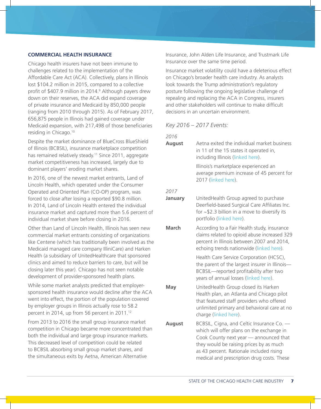#### **COMMERCIAL HEALTH INSURANCE**

Chicago health insurers have not been immune to challenges related to the implementation of the Affordable Care Act (ACA). Collectively, plans in Illinois lost \$104.2 million in 2015, compared to a collective profit of \$407.9 million in 2014.9 Although payers drew down on their reserves, the ACA did expand coverage of private insurance and Medicaid by 850,000 people (ranging from 2010 through 2015). As of February 2017, 656,875 people in Illinois had gained coverage under Medicaid expansion, with 217,498 of those beneficiaries residing in Chicago.10

Despite the market dominance of BlueCross BlueShield of Illinois (BCBSIL), insurance marketplace competition has remained relatively steady.<sup>11</sup> Since 2011, aggregate market competitiveness has increased, largely due to dominant players' eroding market shares.

In 2016, one of the newest market entrants, Land of Lincoln Health, which operated under the Consumer Operated and Oriented Plan (CO-OP) program, was forced to close after losing a reported \$90.8 million. In 2014, Land of Lincoln Health entered the individual insurance market and captured more than 5.6 percent of individual market share before closing in 2016.

Other than Land of Lincoln Health, Illinois has seen new commercial market entrants consisting of organizations like Centene (which has traditionally been involved as the Medicaid managed care company IlliniCare) and Harken Health (a subsidiary of UnitedHealthcare that sponsored clinics and aimed to reduce barriers to care, but will be closing later this year). Chicago has not seen notable development of provider-sponsored health plans.

While some market analysts predicted that employersponsored health insurance would decline after the ACA went into effect, the portion of the population covered by employer groups in Illinois actually rose to 58.2 percent in 2014, up from 56 percent in 2011.<sup>12</sup>

From 2013 to 2016 the small group insurance market competition in Chicago became more concentrated than both the individual and large group insurance markets. This decreased level of competition could be related to BCBSIL absorbing small group market shares, and the simultaneous exits by Aetna, American Alternative

Insurance, John Alden Life Insurance, and Trustmark Life Insurance over the same time period.

Insurance market volatility could have a deleterious effect on Chicago's broader health care industry. As analysts look towards the Trump administration's regulatory posture following the ongoing legislative challenge of repealing and replacing the ACA in Congress, insurers and other stakeholders will continue to make difficult decisions in an uncertain environment.

*Key 2016 – 2017 Events:*

#### *2016*

**August** Aetna exited the individual market business in 11 of the 15 states it operated in, including Illinois (linked here).

> Illinois's marketplace experienced an average premium increase of 45 percent for 2017 (linked here).

#### *2017*

- **January** UnitedHealth Group agreed to purchase Deerfield-based Surgical Care Affiliates Inc. for ~\$2.3 billion in a move to diversify its portfolio (linked here).
- **March** According to a Fair Health study, insurance claims related to opioid abuse increased 329 percent in Illinois between 2007 and 2014, echoing trends nationwide (linked here).

Health Care Service Corporation (HCSC), the parent of the largest insurer in Illinois— BCBSIL—reported profitability after two years of annual losses (linked here).

**May** UnitedHealth Group closed its Harken Health plan, an Atlanta and Chicago pilot that featured staff providers who offered unlimited primary and behavioral care at no charge (linked here).

**August** BCBSIL, Cigna, and Celtic Insurance Co. which will offer plans on the exchange in Cook County next year — announced that they would be raising prices by as much as 43 percent. Rationale included rising medical and prescription drug costs. These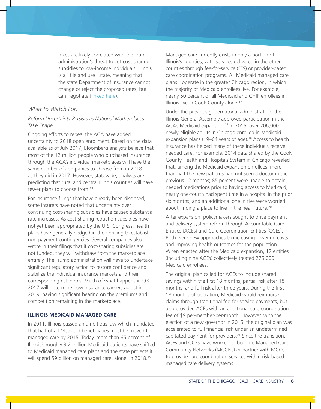hikes are likely correlated with the Trump administration's threat to cut cost-sharing subsidies to low-income individuals. Illinois is a "file and use" state, meaning that the state Department of Insurance cannot change or reject the proposed rates, but can negotiate (linked here).

### *What to Watch For:*

#### *Reform Uncertainty Persists as National Marketplaces Take Shape*

Ongoing efforts to repeal the ACA have added uncertainty to 2018 open enrollment. Based on the data available as of July 2017, Bloomberg analysts believe that most of the 12 million people who purchased insurance through the ACA's individual marketplaces will have the same number of companies to choose from in 2018 as they did in 2017. However, statewide, analysts are predicting that rural and central Illinois counties will have fewer plans to choose from.<sup>13</sup>

For insurance filings that have already been disclosed, some insurers have noted that uncertainty over continuing cost-sharing subsidies have caused substantial rate increases. As cost-sharing reduction subsidies have not yet been appropriated by the U.S. Congress, health plans have generally hedged in their pricing to establish non-payment contingencies. Several companies also wrote in their filings that if cost-sharing subsidies are not funded, they will withdraw from the marketplace entirely. The Trump administration will have to undertake significant regulatory action to restore confidence and stabilize the individual insurance markets and their corresponding risk pools. Much of what happens in Q3 2017 will determine how insurance carriers adjust in 2019, having significant bearing on the premiums and competition remaining in the marketplace.

#### **ILLINOIS MEDICAID MANAGED CARE**

In 2011, Illinois passed an ambitious law which mandated that half of all Medicaid beneficiaries must be moved to managed care by 2015. Today, more than 65 percent of Illinois's roughly 3.2 million Medicaid patients have shifted to Medicaid managed care plans and the state projects it will spend \$9 billion on managed care, alone, in 2018.<sup>15</sup>

Managed care currently exists in only a portion of Illinois's counties, with services delivered in the other counties through fee-for-service (FFS) or provider-based care coordination programs. All Medicaid managed care plans<sup>16</sup> operate in the greater Chicago region, in which the majority of Medicaid enrollees live. For example, nearly 50 percent of all Medicaid and CHIP enrollees in Illinois live in Cook County alone.<sup>17</sup>

Under the previous gubernatorial administration, the Illinois General Assembly approved participation in the ACA's Medicaid expansion.18 In 2015, over 206,000 newly-eligible adults in Chicago enrolled in Medicaid expansion plans (19–64 years of age).<sup>19</sup> Access to health insurance has helped many of these individuals receive needed care. For example, 2014 data shared by the Cook County Health and Hospitals System in Chicago revealed that, among the Medicaid expansion enrollees, more than half the new patients had not seen a doctor in the previous 12 months; 85 percent were unable to obtain needed medications prior to having access to Medicaid; nearly one-fourth had spent time in a hospital in the prior six months; and an additional one in five were worried about finding a place to live in the near future.<sup>20</sup>

After expansion, policymakers sought to drive payment and delivery system reform through Accountable Care Entities (ACEs) and Care Coordination Entities (CCEs). Both were new approaches to increasing lowering costs and improving health outcomes for the population. When enacted after the Medicaid expansion, 17 entities (including nine ACEs) collectively treated 275,000 Medicaid enrollees.

The original plan called for ACEs to include shared savings within the first 18 months, partial risk after 18 months, and full risk after three years. During the first 18 months of operation, Medicaid would reimburse claims through traditional fee-for-service payments, but also provided ACEs with an additional care-coordination fee of \$9 per-member-per-month. However, with the election of a new governor in 2015, the original plan was accelerated to full financial risk under an undetermined capitated payment for providers.<sup>21</sup> Since the transition, ACEs and CCEs have worked to become Managed Care Community Networks (MCCNs) or partner with MCOs to provide care coordination services within risk-based managed care delivery systems.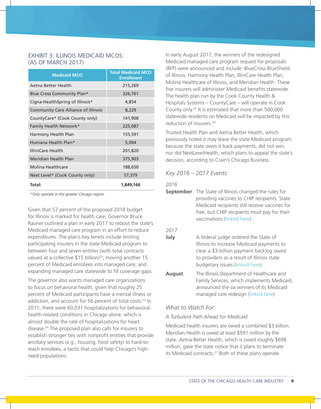### EXHIBIT 3: ILLINOIS MEDICAID MCOS: (AS OF MARCH 2017)

| <b>Medicaid MCO</b>                        | <b>Total Medicaid MCO</b><br><b>Enrollment</b> |
|--------------------------------------------|------------------------------------------------|
| Aetna Better Health                        | 215,269                                        |
| Blue Cross Community Plan*                 | 326,761                                        |
| Cigna-HealthSpring of Illinois*            | 4,854                                          |
| <b>Community Care Alliance of Illinois</b> | 8,229                                          |
| CountyCare* (Cook County only)             | 141,908                                        |
| Family Health Network*                     | 225,087                                        |
| Harmony Health Plan                        | 155,591                                        |
| Humana Health Plan*                        | 5,094                                          |
| IlliniCare Health                          | 201,820                                        |
| Meridian Health Plan                       | 375,903                                        |
| Molina Healthcare                          | 188,650                                        |
| Next Level* (Cook County only)             | 57,379                                         |
| Total:                                     | 1,849,166                                      |

*\*Only operate in the greater Chicago region.*

Given that 57 percent of the proposed 2018 budget for Illinois is marked for health care, Governor Bruce Rauner outlined a plan in early 2017 to reboot the state's Medicaid managed care program in an effort to reduce expenditures. The plan's key tenets include limiting participating insurers in the state Medicaid program to between four and seven entities (with total contracts valued at a collective  $$15$  billion)<sup>22</sup>; moving another 15 percent of Medicaid enrollees into managed care; and expanding managed care statewide to fill coverage gaps.

The governor also wants managed care organizations to focus on behavioral health, given that roughly 25 percent of Medicaid participants have a mental illness or addiction, and account for 56 percent of total costs.<sup>23</sup> In 2011, there were 60,031 hospitalizations for behavioral health-related conditions in Chicago alone, which is almost double the rate of hospitalizations for heart disease.24 The proposed plan also calls for insurers to establish stronger ties with nonprofit entities that provide ancillary services (e.g., housing, food safety) to hard-toreach enrollees, a tactic that could help Chicago's highneed populations.

In early August 2017, the winners of the redesigned Medicaid managed care program request for proposals (RFP) were announced and include: BlueCross BlueShield of Illinois, Harmony Health Plan, IlliniCare Health Plan, Molina Healthcare of Illinois, and Meridian Health. These five insurers will administer Medicaid benefits statewide. The health plan run by the Cook County Health & Hospitals Systems – CountyCare – will operate in Cook County only.25 It is estimated that more than 500,000 statewide residents on Medicaid will be impacted by this reduction of insurers.<sup>26</sup>

Trusted Health Plan and Aetna Better Health, which previously noted it may leave the state Medicaid program because the state owes it back payments, did not win; nor did NextLevelHealth, which plans to appeal the state's decision, according to Crain's Chicago Business.

#### *Key 2016 – 2017 Events:*

#### *2016*

**September** The State of Illinois changed the rules for providing vaccines to CHIP recipients. State Medicaid recipients still receive vaccines for free, but CHIP recipients must pay for their vaccinations (linked here).

#### *2017*

- **July** A federal judge ordered the State of Illinois to increase Medicaid payments to clear a \$3 billion payment backlog owed to providers as a result of Illinois state budgetary issues (linked here).
- **August** The Illinois Department of Healthcare and Family Services, which implements Medicaid, announced the six winners of its Medicaid managed care redesign (linked here).

#### *What to Watch For:*

#### *A Turbulent Path Ahead for Medicaid*

Medicaid health insurers are owed a combined \$3 billion. Meridian Health is owed at least \$591 million by the state. Aetna Better Health, which is owed roughly \$698 million, gave the state notice that it plans to terminate its Medicaid contracts.<sup>27</sup> Both of these plans operate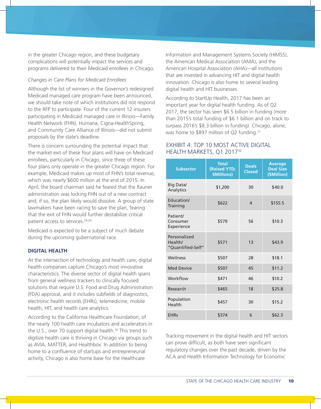in the greater Chicago region, and these budgetary complications will potentially impact the services and programs delivered to their Medicaid enrollees in Chicago.

#### *Changes in Care Plans for Medicaid Enrollees*

Although the list of winners in the Governor's redesigned Medicaid managed care program have been announced, we should take note of which institutions did not respond to the RFP to participate. Four of the current 12 insurers participating in Medicaid managed care in Illinois—Family Health Network (FHN), Humana, Cigna-HealthSpring, and Community Care Alliance of Illinois—did not submit proposals by the state's deadline.

There is concern surrounding the potential impact that the market exit of these four plans will have on Medicaid enrollees, particularly in Chicago, since three of these four plans only operate in the greater Chicago region. For example, Medicaid makes up most of FHN's total revenue, which was nearly \$600 million at the end of 2015. In April, the board chairman said he feared that the Rauner administration was locking FHN out of a new contract and, if so, the plan likely would dissolve. A group of state lawmakers have been racing to save the plan, fearing that the exit of FHN would further destabilize critical patient access to services.28,29

Medicaid is expected to be a subject of much debate during the upcoming gubernatorial race.

#### **DIGITAL HEALTH**

At the intersection of technology and health care, digital health companies capture Chicago's most innovative characteristics. The diverse sector of digital health spans from general wellness trackers to clinically focused solutions that require U.S. Food and Drug Administration (FDA) approval, and it includes subfields of diagnostics, electronic health records (EHRs), telemedicine, mobile health, HIT, and health care analytics.

According to the California Healthcare Foundation, of the nearly 100 health care incubators and accelerators in the U.S., over 70 support digital health. $30$  This trend to digitize health care is thriving in Chicago via groups such as AVIA, MATTER, and Healthbox. In addition to being home to a confluence of startups and entrepreneurial activity, Chicago is also home base for the Healthcare

Information and Management Systems Society (HIMSS), the American Medical Association (AMA), and the American Hospital Association (AHA)—all institutions that are invested in advancing HIT and digital health innovation. Chicago is also home to several leading digital health and HIT businesses.

According to StartUp Health, 2017 has been an important year for digital health funding. As of Q2 2017, the sector has seen \$6.5 billion in funding (more than 2015's total funding of \$6.1 billion and on track to surpass 2016's \$8.3 billion in funding). Chicago, alone, was home to \$897 million of Q2 funding.<sup>31</sup>

# EXHIBIT 4: TOP 10 MOST ACTIVE DIGITAL HEALTH MARKETS, Q1 2017<sup>32</sup>

| <b>Subsector</b>                             | <b>Total</b><br>(Raised YTD;<br>\$Millions) | <b>Deals</b><br><b>Closed</b> | <b>Average</b><br><b>Deal Size</b><br>(\$Million) |
|----------------------------------------------|---------------------------------------------|-------------------------------|---------------------------------------------------|
| <b>Big Data/</b><br>Analytics                | \$1,200                                     | 30                            | \$40.0                                            |
| Education/<br>Training                       | \$622                                       | $\overline{4}$                | \$155.5                                           |
| Patient/<br>Consumer<br>Experience           | \$579                                       | 56                            | \$10.3                                            |
| Personalized<br>Health/<br>"Quantified-Self" | \$571                                       | 13                            | \$43.9                                            |
| Wellness                                     | \$507                                       | 28                            | \$18.1                                            |
| <b>Med Device</b>                            | \$507                                       | 45                            | \$11.2                                            |
| Workflow                                     | \$471                                       | 46                            | \$10.2                                            |
| Research                                     | \$465                                       | 18                            | \$25.8                                            |
| Population<br>Health                         | \$457                                       | 30                            | \$15.2                                            |
| <b>EHRs</b>                                  | \$374                                       | 6                             | \$62.3                                            |

Tracking movement in the digital health and HIT sectors can prove difficult, as both have seen significant regulatory changes over the past decade, driven by the ACA and Health Information Technology for Economic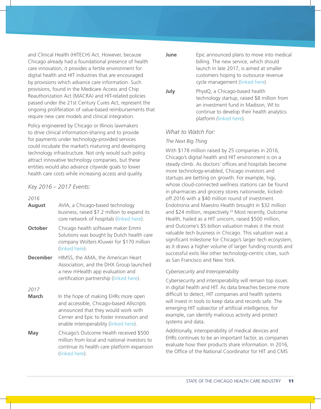and Clinical Health (HITECH) Act. However, because Chicago already had a foundational presence of health care innovation, it provides a fertile environment for digital health and HIT industries that are encouraged by provisions which advance care information. Such provisions, found in the Medicare Access and Chip Reauthorization Act (MACRA) and HIT-related policies passed under the 21st Century Cures Act, represent the ongoing proliferation of value-based reimbursements that require new care models and clinical integration.

Policy engineered by Chicago or Illinois lawmakers to drive clinical information-sharing and to provide for payments under technology-provided services could incubate the market's maturing and developing technology infrastructure. Not only would such policy attract innovative technology companies, but these entities would also advance citywide goals to lower health care costs while increasing access and quality.

#### *Key 2016 – 2017 Events:*

*2016*

**August** AVIA, a Chicago-based technology business, raised \$7.2 million to expand its core network of hospitals (linked here). **October** Chicago health software maker Emmi Solutions was bought by Dutch health care company Wolters Kluwer for \$170 million (linked here). **December** HIMSS, the AMA, the American Heart Association, and the DHX Group launched a new mHealth app evaluation and

*2017*

**March** In the hope of making EHRs more open and accessible, Chicago-based Allscripts announced that they would work with Cerner and Epic to foster innovation and enable interoperability (linked here).

certification partnership (linked here).

**May** Chicago's Outcome Health received \$500 million from local and national investors to continue its health care platform expansion (linked here).

**June** Epic announced plans to move into medical billing. The new service, which should launch in late 2017, is aimed at smaller customers hoping to outsource revenue cycle management (linked here).

**July** PhysIQ, a Chicago-based health technology startup, raised \$8 million from an investment fund in Madison, WI to continue to develop their health analytics platform (linked here).

### *What to Watch For:*

#### *The Next Big Thing*

With \$178 million raised by 25 companies in 2016, Chicago's digital health and HIT environment is on a steady climb. As doctors' offices and hospitals become more technology-enabled, Chicago investors and startups are betting on growth. For example, higi, whose cloud-connected wellness stations can be found in pharmacies and grocery stores nationwide, kickedoff 2016 with a \$40 million round of investment. Endotronix and Maestro Health brought in \$32 million and \$24 million, respectively.<sup>33</sup> Most recently, Outcome Health, hailed as a HIT unicorn, raised \$500 million, and Outcome's \$5 billion valuation makes it the most valuable tech business in Chicago. This valuation was a significant milestone for Chicago's larger tech ecosystem, as it draws a higher volume of larger funding rounds and successful exits like other technology-centric cities, such as San Francisco and New York.

#### *Cybersecurity and Interoperability*

Cybersecurity and interoperability will remain top issues in digital health and HIT. As data breaches become more difficult to detect, HIT companies and health systems will invest in tools to keep data and records safe. The emerging HIT subsector of artificial intelligence, for example, can identify malicious activity and protect systems and data.

Additionally, interoperability of medical devices and EHRs continues to be an important factor, as companies evaluate how their products share information. In 2016, the Office of the National Coordinator for HIT and CMS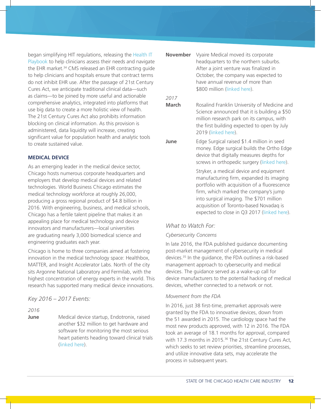began simplifying HIT regulations, releasing the Health IT Playbook to help clinicians assess their needs and navigate the EHR market.<sup>34</sup> CMS released an EHR contracting guide to help clinicians and hospitals ensure that contract terms do not inhibit EHR use. After the passage of 21st Century Cures Act, we anticipate traditional clinical data—such as claims—to be joined by more useful and actionable comprehensive analytics, integrated into platforms that use big data to create a more holistic view of health. The 21st Century Cures Act also prohibits information blocking on clinical information. As this provision is administered, data liquidity will increase, creating significant value for population health and analytic tools to create sustained value.

#### **MEDICAL DEVICE**

As an emerging leader in the medical device sector, Chicago hosts numerous corporate headquarters and employers that develop medical devices and related technologies. World Business Chicago estimates the medical technology workforce at roughly 26,000, producing a gross regional product of \$4.8 billion in 2016. With engineering, business, and medical schools, Chicago has a fertile talent pipeline that makes it an appealing place for medical technology and device innovators and manufacturers—local universities are graduating nearly 3,000 biomedical science and engineering graduates each year.

Chicago is home to three companies aimed at fostering innovation in the medical technology space: Healthbox, MATTER, and Insight Accelerator Labs. North of the city sits Argonne National Laboratory and Fermilab, with the highest concentration of energy experts in the world. This research has supported many medical device innovations.

#### *Key 2016 – 2017 Events:*

*2016*

**June** Medical device startup, Endotronix, raised another \$32 million to get hardware and software for monitoring the most serious heart patients heading toward clinical trials (linked here).

**November** Vyaire Medical moved its corporate headquarters to the northern suburbs. After a joint venture was finalized in October, the company was expected to have annual revenue of more than \$800 million (linked here).

#### *2017*

**March** Rosalind Franklin University of Medicine and Science announced that it is building a \$50 million research park on its campus, with the first building expected to open by July 2019 (linked here).

**June** Edge Surgical raised \$1.4 million in seed money. Edge surgical builds the Ortho Edge device that digitally measures depths for screws in orthopedic surgery (linked here).

> Stryker, a medical device and equipment manufacturing firm, expanded its imaging portfolio with acquisition of a fluorescence firm, which marked the company's jump into surgical imaging. The \$701 million acquisition of Toronto-based Novadaq is expected to close in Q3 2017 (linked here).

#### *What to Watch For:*

#### *Cybersecurity Concerns*

In late 2016, the FDA published guidance documenting post-market management of cybersecurity in medical devices.35 In the guidance, the FDA outlines a risk-based management approach to cybersecurity and medical devices. The guidance served as a wake-up call for device manufacturers to the potential hacking of medical devices, whether connected to a network or not.

#### *Movement from the FDA*

In 2016, just 38 first-time, premarket approvals were granted by the FDA to innovative devices, down from the 51 awarded in 2015. The cardiology space had the most new products approved, with 12 in 2016. The FDA took an average of 18.1 months for approval, compared with 17.3 months in 2015.<sup>36</sup> The 21st Century Cures Act, which seeks to set review priorities, streamline processes, and utilize innovative data sets, may accelerate the process in subsequent years.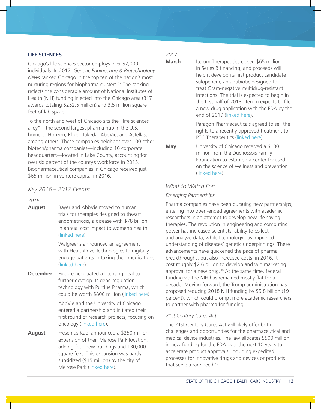#### **LIFE SCIENCES**

Chicago's life sciences sector employs over 52,000 individuals. In 2017, *Genetic Engineering & Biotechnology News* ranked Chicago in the top ten of the nation's most nurturing regions for biopharma clusters.<sup>37</sup> The ranking reflects the considerable amount of National Institutes of Health (NIH) funding injected into the Chicago area (317 awards totaling \$252.5 million) and 3.5 million square feet of lab space.

To the north and west of Chicago sits the "life sciences alley"—the second largest pharma hub in the U.S. home to Horizon, Pfizer, Takeda, AbbVie, and Astellas, among others. These companies neighbor over 100 other biotech/pharma companies—including 10 corporate headquarters—located in Lake County, accounting for over six percent of the county's workforce in 2015. Biopharmaceutical companies in Chicago received just \$65 million in venture capital in 2016.

*Key 2016 – 2017 Events:*

*2016*

**August** Bayer and AbbVie moved to human trials for therapies designed to thwart endometriosis, a disease with \$78 billion in annual cost impact to women's health (linked here).

> Walgreens announced an agreement with HealthPrize Technologies to digitally engage patients in taking their medications (linked here).

**December** Exicure negotiated a licensing deal to further develop its gene-regulation technology with Purdue Pharma, which could be worth \$800 million (linked here).

> AbbVie and the University of Chicago entered a partnership and initiated their first round of research projects, focusing on oncology (linked here).

**August** Fresenius Kabi announced a \$250 million expansion of their Melrose Park location, adding four new buildings and 130,000 square feet. This expansion was partly subsidized (\$15 million) by the city of Melrose Park (linked here).

# *2017*

**March** Iterum Therapeutics closed \$65 million in Series B financing, and proceeds will help it develop its first product candidate sulopenem, an antibiotic designed to treat Gram-negative multidrug-resistant infections. The trial is expected to begin in the first half of 2018; Iterum expects to file a new drug application with the FDA by the end of 2019 (linked here).

> Paragon Pharmaceuticals agreed to sell the rights to a recently-approved treatment to PTC Therapeutics (linked here).

**May** University of Chicago received a \$100 million from the Duchossois Family Foundation to establish a center focused on the science of wellness and prevention (linked here).

### *What to Watch For:*

#### *Emerging Partnerships*

Pharma companies have been pursuing new partnerships, entering into open-ended agreements with academic researchers in an attempt to develop new life-saving therapies. The revolution in engineering and computing power has increased scientists' ability to collect and analyze data, while technology has improved understanding of diseases' genetic underpinnings. These advancements have quickened the pace of pharma breakthroughs, but also increased costs; in 2016, it cost roughly \$2.6 billion to develop and win marketing approval for a new drug.<sup>38</sup> At the same time, federal funding via the NIH has remained mostly flat for a decade. Moving forward, the Trump administration has proposed reducing 2018 NIH funding by \$5.8 billion (19 percent), which could prompt more academic researchers to partner with pharma for funding.

#### *21st Century Cures Act*

The 21st Century Cures Act will likely offer both challenges and opportunities for the pharmaceutical and medical device industries. The law allocates \$500 million in new funding for the FDA over the next 10 years to accelerate product approvals, including expedited processes for innovative drugs and devices or products that serve a rare need.<sup>39</sup>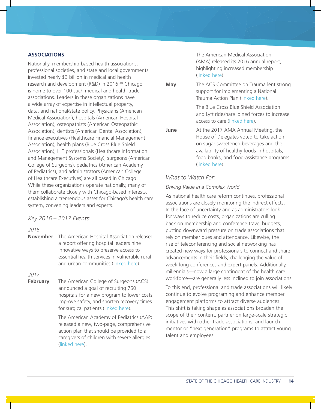#### **ASSOCIATIONS**

Nationally, membership-based health associations, professional societies, and state and local governments invested nearly \$3 billion in medical and health research and development (R&D) in 2016.40 Chicago is home to over 100 such medical and health trade associations. Leaders in these organizations have a wide array of expertise in intellectual property, data, and national/state policy. Physicians (American Medical Association), hospitals (American Hospital Association), osteopathists (American Osteopathic Association), dentists (American Dental Association), finance executives (Healthcare Financial Management Association), health plans (Blue Cross Blue Shield Association), HIT professionals (Healthcare Information and Management Systems Society), surgeons (American College of Surgeons), pediatrics (American Academy of Pediatrics), and administrators (American College of Healthcare Executives) are all based in Chicago. While these organizations operate nationally, many of them collaborate closely with Chicago-based interests, establishing a tremendous asset for Chicago's health care system, convening leaders and experts.

#### *Key 2016 – 2017 Events:*

#### *2016*

**November** The American Hospital Association released a report offering hospital leaders nine innovative ways to preserve access to essential health services in vulnerable rural and urban communities (linked here).

### *2017*

**February** The American College of Surgeons (ACS) announced a goal of recruiting 750 hospitals for a new program to lower costs, improve safety, and shorten recovery times for surgical patients (linked here).

> The American Academy of Pediatrics (AAP) released a new, two-page, comprehensive action plan that should be provided to all caregivers of children with severe allergies (linked here).

The American Medical Association (AMA) released its 2016 annual report, highlighting increased membership (linked here).

**May** The ACS Committee on Trauma lent strong support for implementing a National Trauma Action Plan (linked here).

> The Blue Cross Blue Shield Association and Lyft rideshare joined forces to increase access to care (linked here).

**June** At the 2017 AMA Annual Meeting, the House of Delegates voted to take action on sugar-sweetened beverages and the availability of healthy foods in hospitals, food banks, and food-assistance programs (linked here).

#### *What to Watch For:*

#### *Driving Value in a Complex World*

As national health care reform continues, professional associations are closely monitoring the indirect effects. In the face of uncertainty and as administrators look for ways to reduce costs, organizations are culling back on membership and conference travel budgets, putting downward pressure on trade associations that rely on member dues and attendance. Likewise, the rise of teleconferencing and social networking has created new ways for professionals to connect and share advancements in their fields, challenging the value of week-long conferences and expert panels. Additionally, millennials—now a large contingent of the health care workforce—are generally less inclined to join associations.

To this end, professional and trade associations will likely continue to evolve programing and enhance member engagement platforms to attract diverse audiences. This shift is taking shape as associations broaden the scope of their content, partner on large-scale strategic initiatives with other trade associations, and launch mentor or "next generation" programs to attract young talent and employees.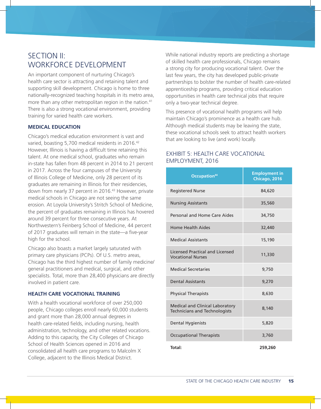# SECTION II: WORKFORCE DEVELOPMENT

An important component of nurturing Chicago's health care sector is attracting and retaining talent and supporting skill development. Chicago is home to three nationally-recognized teaching hospitals in its metro area, more than any other metropolitan region in the nation.<sup>41</sup> There is also a strong vocational environment, providing training for varied health care workers.

### **MEDICAL EDUCATION**

Chicago's medical education environment is vast and varied, boasting 5,700 medical residents in 2016.<sup>42</sup> However, Illinois is having a difficult time retaining this talent. At one medical school, graduates who remain in-state has fallen from 48 percent in 2014 to 21 percent in 2017. Across the four campuses of the University of Illinois College of Medicine, only 28 percent of its graduates are remaining in Illinois for their residencies, down from nearly 37 percent in 2016.<sup>43</sup> However, private medical schools in Chicago are not seeing the same erosion. At Loyola University's Stritch School of Medicine, the percent of graduates remaining in Illinois has hovered around 39 percent for three consecutive years. At Northwestern's Feinberg School of Medicine, 44 percent of 2017 graduates will remain in the state—a five-year high for the school.

Chicago also boasts a market largely saturated with primary care physicians (PCPs). Of U.S. metro areas, Chicago has the third highest number of family medicine/ general practitioners and medical, surgical, and other specialists. Total, more than 28,400 physicians are directly involved in patient care.

#### **HEALTH CARE VOCATIONAL TRAINING**

With a health vocational workforce of over 250,000 people, Chicago colleges enroll nearly 60,000 students and grant more than 28,000 annual degrees in health care-related fields, including nursing, health administration, technology, and other related vocations. Adding to this capacity, the City Colleges of Chicago School of Health Sciences opened in 2016 and consolidated all health care programs to Malcolm X College, adjacent to the Illinois Medical District.

While national industry reports are predicting a shortage of skilled health care professionals, Chicago remains a strong city for producing vocational talent. Over the last few years, the city has developed public-private partnerships to bolster the number of health care-related apprenticeship programs, providing critical education opportunities in health care technical jobs that require only a two-year technical degree.

This presence of vocational health programs will help maintain Chicago's prominence as a health care hub. Although medical students may be leaving the state, these vocational schools seek to attract health workers that are looking to live (and work) locally.

# EXHIBIT 5: HEALTH CARE VOCATIONAL EMPLOYMENT, 2016

| Occupation <sup>44</sup>                                                       | <b>Employment in</b><br>Chicago, 2016 |
|--------------------------------------------------------------------------------|---------------------------------------|
| <b>Registered Nurse</b>                                                        | 84,620                                |
| <b>Nursing Assistants</b>                                                      | 35,560                                |
| Personal and Home Care Aides                                                   | 34,750                                |
| <b>Home Health Aides</b>                                                       | 32,440                                |
| <b>Medical Assistants</b>                                                      | 15,190                                |
| <b>Licensed Practical and Licensed</b><br><b>Vocational Nurses</b>             | 11,330                                |
| <b>Medical Secretaries</b>                                                     | 9,750                                 |
| <b>Dental Assistants</b>                                                       | 9,270                                 |
| <b>Physical Therapists</b>                                                     | 8,630                                 |
| <b>Medical and Clinical Laboratory</b><br><b>Technicians and Technologists</b> | 8,140                                 |
| <b>Dental Hygienists</b>                                                       | 5,820                                 |
| <b>Occupational Therapists</b>                                                 | 3,760                                 |
| Total:                                                                         | 259,260                               |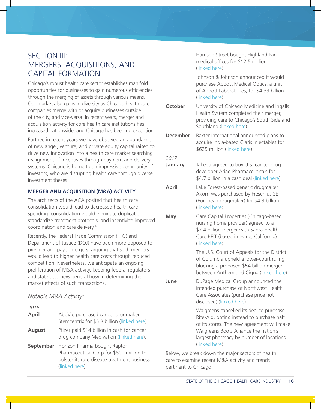# SECTION III: MERGERS, ACQUISITIONS, AND CAPITAL FORMATION

Chicago's robust health care sector establishes manifold opportunities for businesses to gain numerous efficiencies through the merging of assets through various means. Our market also gains in diversity as Chicago health care companies merge with or acquire businesses outside of the city, and vice-versa. In recent years, merger and acquisition activity for core health care institutions has increased nationwide, and Chicago has been no exception.

Further, in recent years we have observed an abundance of new angel, venture, and private equity capital raised to drive new innovation into a health care market searching realignment of incentives through payment and delivery systems. Chicago is home to an impressive community of investors, who are disrupting health care through diverse investment theses.

#### **MERGER AND ACQUISITION (M&A) ACTIVITY**

The architects of the ACA posited that health care consolidation would lead to decreased health care spending: consolidation would eliminate duplication, standardize treatment protocols, and incentivize improved coordination and care delivery.45

Recently, the Federal Trade Commission (FTC) and Department of Justice (DOJ) have been more opposed to provider and payer mergers, arguing that such mergers would lead to higher health care costs through reduced competition. Nevertheless, we anticipate an ongoing proliferation of M&A activity, keeping federal regulators and state attorneys general busy in determining the market effects of such transactions.

#### *Notable M&A Activity:*

| 2016          |                                                                                                                                                            |                                              |
|---------------|------------------------------------------------------------------------------------------------------------------------------------------------------------|----------------------------------------------|
| April         | AbbVie purchased cancer drugmaker<br>Stemcentrix for \$5.8 billion (linked here).                                                                          |                                              |
| <b>August</b> | Pfizer paid \$14 billion in cash for cancer<br>drug company Medivation (linked here).                                                                      |                                              |
|               | <b>September</b> Horizon Pharma bought Raptor<br>Pharmaceutical Corp for \$800 million to<br>bolster its rare-disease treatment business<br>(linked here). | Below, we bi<br>care to exam<br>pertinent to |

Harrison Street bought Highland Park medical offices for \$12.5 million (linked here).

Johnson & Johnson announced it would purchase Abbott Medical Optics, a unit of Abbott Laboratories, for \$4.33 billion (linked here).

| October         | University of Chicago Medicine and Ingalls<br>Health System completed their merger,<br>providing care to Chicago's South Side and<br>Southland (linked here).                                                                             |
|-----------------|-------------------------------------------------------------------------------------------------------------------------------------------------------------------------------------------------------------------------------------------|
| <b>December</b> | Baxter International announced plans to<br>acquire India-based Claris Injectables for<br>\$625 million (linked here).                                                                                                                     |
| 2017            |                                                                                                                                                                                                                                           |
| January         | Takeda agreed to buy U.S. cancer drug<br>developer Ariad Pharmaceuticals for<br>\$4.7 billion in a cash deal (linked here).                                                                                                               |
| April           | Lake Forest-based generic drugmaker<br>Akorn was purchased by Fresenius SE<br>(European drugmaker) for \$4.3 billion<br>(linked here).                                                                                                    |
| <b>May</b>      | Care Capital Properties (Chicago-based<br>nursing home provider) agreed to a<br>\$7.4 billion merger with Sabra Health<br>Care REIT (based in Irvine, California)<br>(linked here).                                                       |
|                 | The U.S. Court of Appeals for the District<br>of Columbia upheld a lower-court ruling<br>blocking a proposed \$54 billion merger<br>between Anthem and Cigna (linked here).                                                               |
| June            | DuPage Medical Group announced the<br>intended purchase of Northwest Health<br>Care Associates (purchase price not<br>disclosed) (linked here).                                                                                           |
|                 | Walgreens cancelled its deal to purchase<br>Rite-Aid, opting instead to purchase half<br>of its stores. The new agreement will make<br>Walgreens Boots Alliance the nation's<br>largest pharmacy by number of locations<br>(linked here). |

reak down the major sectors of health ine recent M&A activity and trends Chicago.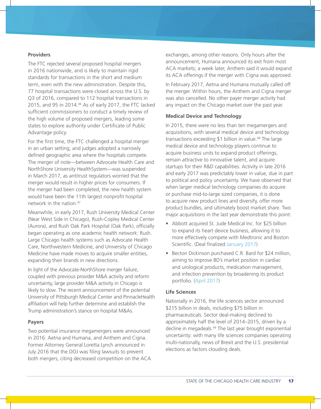#### **Providers**

The FTC rejected several proposed hospital mergers in 2016 nationwide, and is likely to maintain rigid standards for transactions in the short and medium term, even with the new administration. Despite this, 77 hospital transactions were closed across the U.S. by Q3 of 2016, compared to 112 hospital transactions in 2015, and 95 in 2014.46 As of early 2017, the FTC lacked sufficient commissioners to conduct a timely review of the high volume of proposed mergers, leading some states to explore authority under Certificate of Public Advantage policy.

For the first time, the FTC challenged a hospital merger in an urban setting, and judges adopted a narrowly defined geographic area where the hospitals compete. The merger of note—between Advocate Health Care and NorthShore University HealthSystem—was suspended in March 2017, as antitrust regulators worried that the merger would result in higher prices for consumers. If the merger had been completed, the new health system would have been the 11th largest nonprofit hospital network in the nation.47

Meanwhile, in early 2017, Rush University Medical Center (Near West Side in Chicago), Rush-Copley Medical Center (Aurora), and Rush Oak Park Hospital (Oak Park), officially began operating as one academic health network: Rush. Large Chicago health systems such as Advocate Health Care, Northwestern Medicine, and University of Chicago Medicine have made moves to acquire smaller entities, expanding their brands in new directions.

In light of the Advocate-NorthShore merger failure, coupled with previous provider M&A activity and reform uncertainty, large provider M&A activity in Chicago is likely to slow. The recent announcement of the potential University of Pittsburgh Medical Center and PinnacleHealth affiliation will help further determine and establish the Trump administration's stance on hospital M&As.

#### **Payers**

Two potential insurance megamergers were announced in 2016: Aetna and Humana, and Anthem and Cigna. Former Attorney General Loretta Lynch announced in July 2016 that the DOJ was filing lawsuits to prevent both mergers, citing decreased competition on the ACA exchanges, among other reasons. Only hours after the announcement, Humana announced its exit from most ACA markets; a week later, Anthem said it would expand its ACA offerings if the merger with Cigna was approved.

In February 2017, Aetna and Humana mutually called off the merger. Within hours, the Anthem and Cigna merger was also cancelled. No other payer merger activity had any impact on the Chicago market over the past year.

#### **Medical Device and Technology**

In 2015, there were no less than ten megamergers and acquisitions, with several medical device and technology transactions exceeding \$1 billion in value.<sup>48</sup> The large medical device and technology players continue to acquire business units to expand product offerings, remain attractive to innovative talent, and acquire startups for their R&D capabilities. Activity in late 2016 and early 2017 was predictably lower in value, due in part to political and policy uncertainty. We have observed that when larger medical technology companies do acquire or purchase mid-to-large sized companies, it is done to acquire new product lines and diversify, offer more product bundles, and ultimately boost market share. Two major acquisitions in the last year demonstrate this point:

- Abbott acquired St. Jude Medical Inc. for \$25 billion to expand its heart device business, allowing it to more effectively compete with Medtronic and Boston Scientific. (Deal finalized January 2017)
- Becton Dickinson purchased C.R. Bard for \$24 million, aiming to improve BD's market position in cardiac and urological products, medication management, and infection prevention by broadening its product portfolio. (April 2017)

#### **Life Sciences**

Nationally in 2016, the life sciences sector announced \$215 billion in deals, including \$75 billion in pharmaceuticals. Sector deal-making declined to approximately half the level of 2014–2015, driven by a decline in megadeals.<sup>49</sup> The last year brought exponential uncertainty: with many life sciences companies operating multi-nationally, news of Brexit and the U.S. presidential elections as factors clouding deals.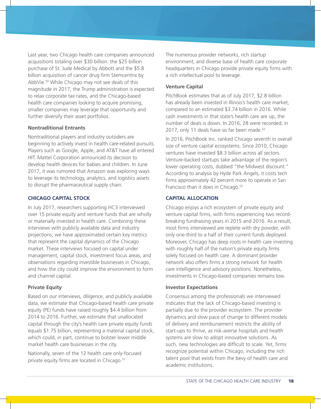Last year, two Chicago health care companies announced acquisitions totaling over \$30 billion: the \$25 billion purchase of St. Jude Medical by Abbott and the \$5.8 billion acquisition of cancer drug firm Stemcentrix by AbbVie.50 While Chicago may not see deals of this magnitude in 2017, the Trump administration is expected to relax corporate tax rates, and the Chicago-based health care companies looking to acquire promising, smaller companies may leverage that opportunity and further diversify their asset portfolios.

#### **Nontraditional Entrants**

Nontraditional players and industry outsiders are beginning to actively invest in health care-related pursuits. Players such as Google, Apple, and AT&T have all entered HIT. Mattel Corporation announced its decision to develop health devices for babies and children. In June 2017, it was rumored that Amazon was exploring ways to leverage its technology, analytics, and logistics assets to disrupt the pharmaceutical supply chain.

#### **CHICAGO CAPITAL STOCK**

In July 2017, researchers supporting HC3 interviewed over 15 private equity and venture funds that are wholly or materially invested in health care. Combining these interviews with publicly available data and industry projections, we have approximated certain key metrics that represent the capital dynamics of the Chicago market. These interviews focused on capital under management, capital stock, investment focus areas, and observations regarding investible businesses in Chicago, and how the city could improve the environment to form and channel capital.

#### **Private Equity**

Based on our interviews, diligence, and publicly available data, we estimate that Chicago-based health care private equity (PE) funds have raised roughly \$4.4 billion from 2014 to 2016. Further, we estimate that unallocated capital through the city's health care private equity funds equals \$1.75 billion, representing a material capital stock, which could, in part, continue to bolster lower middle market health care businesses in the city.

Nationally, seven of the 12 health care only-focused private equity firms are located in Chicago.<sup>51</sup>

The numerous provider networks, rich startup environment, and diverse base of health care corporate headquarters in Chicago provide private equity firms with a rich intellectual pool to leverage.

#### **Venture Capital**

PitchBook estimates that as of July 2017, \$2.8 billion has already been invested in Illinois's health care market, compared to an estimated \$3.74 billion in 2016. While cash investments in that state's health care are up, the number of deals is down. In 2016, 28 were recorded; in 2017, only 11 deals have so far been made.<sup>52</sup>

In 2016, PitchBook Inc. ranked Chicago seventh in overall size of venture capital ecosystems. Since 2010, Chicago ventures have invested \$8.3 billion across all sectors. Venture-backed startups take advantage of the region's lower operating costs, dubbed "the Midwest discount." According to analysis by Hyde Park Angels, it costs tech firms approximately 42 percent more to operate in San Francisco than it does in Chicago.<sup>53</sup>

#### **CAPITAL ALLOCATION**

Chicago enjoys a rich ecosystem of private equity and venture capital firms, with firms experiencing two recordbreaking fundraising years in 2015 and 2016. As a result, most firms interviewed are replete with dry powder, with only one-third to a half of their current funds deployed. Moreover, Chicago has deep roots in health care investing with roughly half of the nation's private equity firms solely focused on health care. A dominant provider network also offers firms a strong network for health care intelligence and advisory positions. Nonetheless, investments in Chicago-based companies remains low.

#### **Investor Expectations**

Consensus among the professionals we interviewed indicates that the lack of Chicago-based investing is partially due to the provider ecosystem. The provider dynamics and slow pace of change to different models of delivery and reimbursement restricts the ability of start-ups to thrive, as risk-averse hospitals and health systems are slow to adopt innovative solutions. As such, new technologies are difficult to scale. Yet, firms recognize potential within Chicago, including the rich talent pool that exists from the bevy of health care and academic institutions.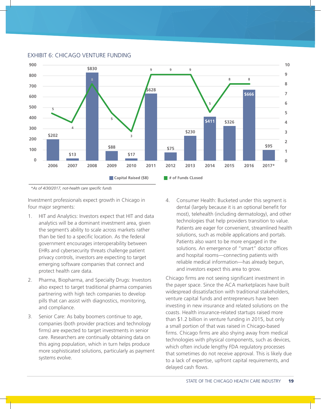

#### EXHIBIT 6: CHICAGO VENTURE FUNDING

*\*As of 4/30/2017, not-health care specific funds*

Investment professionals expect growth in Chicago in four major segments:

- 1. HIT and Analytics: Investors expect that HIT and data analytics will be a dominant investment area, given the segment's ability to scale across markets rather than be tied to a specific location. As the federal government encourages interoperability between EHRs and cybersecurity threats challenge patient privacy controls, investors are expecting to target emerging software companies that connect and protect health care data.
- 2. Pharma, Biopharma, and Specialty Drugs: Investors also expect to target traditional pharma companies partnering with high tech companies to develop pills that can assist with diagnostics, monitoring, and compliance.
- 3. Senior Care: As baby boomers continue to age, companies (both provider practices and technology firms) are expected to target investments in senior care. Researchers are continually obtaining data on this aging population, which in turn helps produce more sophisticated solutions, particularly as payment systems evolve.

4. Consumer Health: Bucketed under this segment is dental (largely because it is an optional benefit for most), telehealth (including dermatology), and other technologies that help providers transition to value. Patients are eager for convenient, streamlined health solutions, such as mobile applications and portals. Patients also want to be more engaged in the solutions. An emergence of "smart" doctor offices and hospital rooms—connecting patients with reliable medical information—has already begun, and investors expect this area to grow.

Chicago firms are not seeing significant investment in the payer space. Since the ACA marketplaces have built widespread dissatisfaction with traditional stakeholders, venture capital funds and entrepreneurs have been investing in new insurance and related solutions on the coasts. Health insurance-related startups raised more than \$1.2 billion in venture funding in 2015, but only a small portion of that was raised in Chicago-based firms. Chicago firms are also shying away from medical technologies with physical components, such as devices, which often include lengthy FDA regulatory processes that sometimes do not receive approval. This is likely due to a lack of expertise, upfront capital requirements, and delayed cash flows.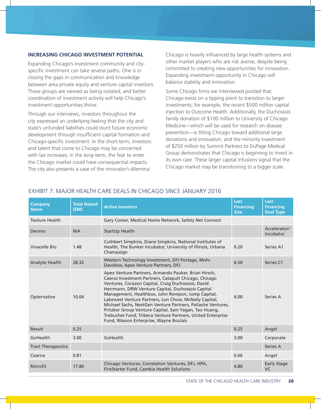#### **INCREASING CHICAGO INVESTMENT POTENTIAL**

Expanding Chicago's investment community and cityspecific investment can take several paths. One is in closing the gaps in communication and knowledge between area private equity and venture capital investors. These groups are viewed as being isolated, and better coordination of investment activity will help Chicago's investment opportunities thrive.

Through our interviews, investors throughout the city expressed an underlying feeling that the city and state's unfunded liabilities could stunt future economic development through insufficient capital formation and Chicago-specific investment. In the short-term, investors and talent that come to Chicago may be concerned with tax increases; in the long-term, the fear to enter the Chicago market could have consequential impacts. The city also presents a case of the innovator's dilemma:

Chicago is heavily influenced by large health systems and other market players who are risk averse, despite being committed to creating new opportunities for innovation. Expanding investment opportunity in Chicago will balance stability and innovation.

Some Chicago firms we interviewed posited that Chicago exists on a tipping point to transition to larger investments; for example, the recent \$500 million capital injection to Outcome Health. Additionally, the Duchossois family donation of \$100 million to University of Chicago Medicine—which will be used for research on disease prevention—is tilting Chicago toward additional large donations and innovation, and the minority investment of \$250 million by Summit Partners to DuPage Medical Group demonstrates that Chicago is beginning to invest in its own care. These larger capital infusions signal that the Chicago market may be transitioning to a bigger scale.

| <b>Company</b><br><b>Name</b> | <b>Total Raised</b><br>(SM) | <b>Active Investors</b>                                                                                                                                                                                                                                                                                                                                                                                                                                                                                                                                                  | Last<br><b>Financing</b><br><b>Size</b> | Last<br><b>Financing</b><br><b>Deal Type</b> |
|-------------------------------|-----------------------------|--------------------------------------------------------------------------------------------------------------------------------------------------------------------------------------------------------------------------------------------------------------------------------------------------------------------------------------------------------------------------------------------------------------------------------------------------------------------------------------------------------------------------------------------------------------------------|-----------------------------------------|----------------------------------------------|
| <b>Texture Health</b>         |                             | Gary Comer, Medical Home Network, Safety Net Connect                                                                                                                                                                                                                                                                                                                                                                                                                                                                                                                     |                                         |                                              |
| Dermio                        | N/A                         | StartUp Health                                                                                                                                                                                                                                                                                                                                                                                                                                                                                                                                                           |                                         | Accelerator/<br>Incubator                    |
| Vivacelle Bio                 | 1.48                        | Cuthbert Simpkins, Diane Simpkins, National Institutes of<br>Health, The Bunker Incubator, University of Illinois, Urbana<br>Champaign                                                                                                                                                                                                                                                                                                                                                                                                                                   | 0.20                                    | Series A1                                    |
| Analyte Health                | 28.32                       | Western Technology Investment, DFJ Portage, Mohr<br>Davidow, Apex Venture Partners, DFJ                                                                                                                                                                                                                                                                                                                                                                                                                                                                                  | 6.50                                    | Series C1                                    |
| Opternative                   | 10.04                       | Apex Venture Partners, Armando Pauker, Brian Hirsch,<br>Caerus Investment Partners, Catapult Chicago, Chicago<br>Ventures, Corazon Capital, Craig Duchossois, David<br>Herrmann, DRW Venture Capital, Duchossois Capital<br>Management, Healthbox, John Rompon, Jump Capital,<br>Lakewest Venture Partners, Lon Chow, McNally Capital,<br>Michael Sachs, NextGen Venture Partners, Pallasite Ventures,<br>Pritzker Group Venture Capital, Sam Yagan, Tao Huang,<br>Trebuchet Fund, Tribeca Venture Partners, United Enterprise<br>Fund, Wasson Enterprise, Wayne Boulais | 6.00                                    | Series A                                     |
| Rexuti                        | 0.25                        |                                                                                                                                                                                                                                                                                                                                                                                                                                                                                                                                                                          | 0.25                                    | Angel                                        |
| GoHealth                      | 3.00                        | GoHealth                                                                                                                                                                                                                                                                                                                                                                                                                                                                                                                                                                 | 3.00                                    | Corporate                                    |
| <b>Tract Therapeutics</b>     |                             |                                                                                                                                                                                                                                                                                                                                                                                                                                                                                                                                                                          |                                         | Series A                                     |
| Cearna                        | 0.81                        |                                                                                                                                                                                                                                                                                                                                                                                                                                                                                                                                                                          | 0.66                                    | Angel                                        |
| Retrofit                      | 17.80                       | Chicago Ventures, Correlation Ventures, DFJ, HPA,<br>FireStarter Fund, Cambia Health Solutions                                                                                                                                                                                                                                                                                                                                                                                                                                                                           | 4.80                                    | <b>Early Stage</b><br><b>VC</b>              |

# EXHIBIT 7: MAJOR HEALTH CARE DEALS IN CHICAGO SINCE JANUARY 2016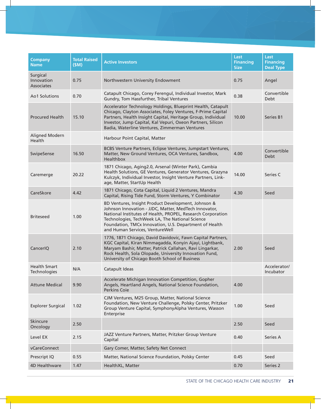| <b>Company</b><br><b>Name</b>        | <b>Total Raised</b><br>(SM) | <b>Active Investors</b>                                                                                                                                                                                                                                                                                                     | Last<br><b>Financing</b><br><b>Size</b> | Last<br><b>Financing</b><br><b>Deal Type</b> |
|--------------------------------------|-----------------------------|-----------------------------------------------------------------------------------------------------------------------------------------------------------------------------------------------------------------------------------------------------------------------------------------------------------------------------|-----------------------------------------|----------------------------------------------|
| Surgical<br>Innovation<br>Associates | 0.75                        | Northwestern University Endowment                                                                                                                                                                                                                                                                                           | 0.75                                    | Angel                                        |
| Ao1 Solutions                        | 0.70                        | Catapult Chicago, Corey Ferengul, Individual Investor, Mark<br>Gundry, Tom Hassfurther, Tribal Ventures                                                                                                                                                                                                                     | 0.38                                    | Convertible<br>Debt                          |
| <b>Procured Health</b>               | 15.10                       | Accelerator Technology Holdings, Blueprint Health, Catapult<br>Chicago, Clayton Associates, Foley Ventures, F-Prime Capital<br>Partners, Health Insight Capital, Heritage Group, Individual<br>Investor, Jump Capital, Kal Vepuri, Oxeon Partners, Silicon<br>Badia, Waterline Ventures, Zimmerman Ventures                 | 10.00                                   | Series B1                                    |
| Aligned Modern<br>Health             |                             | Harbour Point Capital, Matter                                                                                                                                                                                                                                                                                               |                                         |                                              |
| SwipeSense                           | 16.50                       | BCBS Venture Partners, Eclipse Ventures, Jumpstart Ventures,<br>Matter, New Ground Ventures, OCA Ventures, Sandbox,<br>Healthbox                                                                                                                                                                                            | 4.00                                    | Convertible<br>Debt                          |
| Caremerge                            | 20.22                       | 1871 Chicago, Aging2.0, Arsenal (Winter Park), Cambia<br>Health Solutions, GE Ventures, Generator Ventures, Grazyna<br>Kulczyk, Individual Investor, Insight Venture Partners, Link-<br>age, Matter, StartUp Health                                                                                                         | 14.00                                   | Series C                                     |
| CareSkore                            | 4.42                        | 1871 Chicago, Cota Capital, Liquid 2 Ventures, Mandra<br>Capital, Rising Tide Fund, Storm Ventures, Y Combinator                                                                                                                                                                                                            | 4.30                                    | Seed                                         |
| <b>Briteseed</b>                     | 1.00                        | BD Ventures, Insight Product Development, Johnson &<br>Johnson Innovation - JJDC, Matter, MedTech Innovator,<br>National Institutes of Health, PROPEL, Research Corporation<br>Technologies, TechWeek LA, The National Science<br>Foundation, TMCx Innovation, U.S. Department of Health<br>and Human Services, VentureWell |                                         |                                              |
| CancerIQ                             | 2.10                        | 1776, 1871 Chicago, David Davidovic, Fawn Capital Partners,<br>KGC Capital, Kiran Nimmagadda, Konyin Ajayi, Lightbank,<br>Maryam Bashir, Matter, Patrick Callahan, Ravi Lingarkar,<br>Rock Health, Sola Olopade, University Innovation Fund,<br>University of Chicago Booth School of Business                              | 2.00                                    | Seed                                         |
| <b>Health Smart</b><br>Technologies  | N/A                         | Catapult Ideas                                                                                                                                                                                                                                                                                                              |                                         | Accelerator/<br>Incubator                    |
| <b>Attune Medical</b>                | 9.90                        | Accelerate Michigan Innovation Competition, Gopher<br>Angels, Heartland Angels, National Science Foundation,<br>Perkins Coie                                                                                                                                                                                                | 4.00                                    |                                              |
| <b>Explorer Surgical</b>             | 1.02                        | CJM Ventures, M25 Group, Matter, National Science<br>Foundation, New Venture Challenge, Polsky Center, Pritzker<br>Group Venture Capital, SymphonyAlpha Ventures, Wasson<br>Enterprise                                                                                                                                      | 1.00                                    | Seed                                         |
| Skincure<br>Oncology                 | 2.50                        |                                                                                                                                                                                                                                                                                                                             | 2.50                                    | Seed                                         |
| Level EX                             | 2.15                        | JAZZ Venture Partners, Matter, Pritzker Group Venture<br>Capital                                                                                                                                                                                                                                                            | 0.40                                    | Series A                                     |
| vCareConnect                         |                             | Gary Comer, Matter, Safety Net Connect                                                                                                                                                                                                                                                                                      |                                         |                                              |
| Prescript IQ                         | 0.55                        | Matter, National Science Foundation, Polsky Center                                                                                                                                                                                                                                                                          | 0.45                                    | Seed                                         |
| 4D Healthware                        | 1.47                        | HealthXL, Matter                                                                                                                                                                                                                                                                                                            | 0.70                                    | Series 2                                     |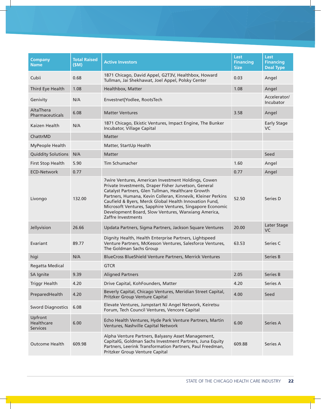| <b>Company</b><br><b>Name</b>            | <b>Total Raised</b><br>(SM) | <b>Active Investors</b>                                                                                                                                                                                                                                                                                                                                                                                                                      | Last<br><b>Financing</b><br><b>Size</b> | Last<br><b>Financing</b><br><b>Deal Type</b> |
|------------------------------------------|-----------------------------|----------------------------------------------------------------------------------------------------------------------------------------------------------------------------------------------------------------------------------------------------------------------------------------------------------------------------------------------------------------------------------------------------------------------------------------------|-----------------------------------------|----------------------------------------------|
| Cubii                                    | 0.68                        | 1871 Chicago, David Appel, G2T3V, Healthbox, Howard<br>Tullman, Jai Shekhawat, Joel Appel, Polsky Center                                                                                                                                                                                                                                                                                                                                     | 0.03                                    | Angel                                        |
| Third Eye Health                         | 1.08                        | Healthbox, Matter                                                                                                                                                                                                                                                                                                                                                                                                                            | 1.08                                    | Angel                                        |
| Genivity                                 | N/A                         | Envestnet Yodlee, RootsTech                                                                                                                                                                                                                                                                                                                                                                                                                  |                                         | Accelerator/<br>Incubator                    |
| AltaThera<br>Pharmaceuticals             | 6.08                        | <b>Matter Ventures</b>                                                                                                                                                                                                                                                                                                                                                                                                                       | 3.58                                    | Angel                                        |
| Kaizen Health                            | N/A                         | 1871 Chicago, Ekistic Ventures, Impact Engine, The Bunker<br>Incubator, Village Capital                                                                                                                                                                                                                                                                                                                                                      |                                         | <b>Early Stage</b><br>VC.                    |
| ChattrMD                                 |                             | <b>Matter</b>                                                                                                                                                                                                                                                                                                                                                                                                                                |                                         |                                              |
| MyPeople Health                          |                             | Matter, StartUp Health                                                                                                                                                                                                                                                                                                                                                                                                                       |                                         |                                              |
| <b>Quiddity Solutions</b>                | N/A                         | <b>Matter</b>                                                                                                                                                                                                                                                                                                                                                                                                                                |                                         | Seed                                         |
| First Stop Health                        | 5.90                        | Tim Schumacher                                                                                                                                                                                                                                                                                                                                                                                                                               | 1.60                                    | Angel                                        |
| <b>ECD-Network</b>                       | 0.77                        |                                                                                                                                                                                                                                                                                                                                                                                                                                              | 0.77                                    | Angel                                        |
| Livongo                                  | 132.00                      | <b>7wire Ventures, American Investment Holdings, Cowen</b><br>Private Investments, Draper Fisher Jurvetson, General<br>Catalyst Partners, Glen Tullman, Healthcare Growth<br>Partners, Humana, Kevin Colleran, Kinnevik, Kleiner Perkins<br>Caufield & Byers, Merck Global Health Innovation Fund,<br>Microsoft Ventures, Sapphire Ventures, Singapore Economic<br>Development Board, Slow Ventures, Wanxiang America,<br>Zaffre Investments | 52.50                                   | Series D                                     |
| Jellyvision                              | 26.66                       | Updata Partners, Sigma Partners, Jackson Square Ventures                                                                                                                                                                                                                                                                                                                                                                                     | 20.00                                   | Later Stage<br>VC                            |
| Evariant                                 | 89.77                       | Dignity Health, Health Enterprise Partners, Lightspeed<br>Venture Partners, McKesson Ventures, Salesforce Ventures,<br>The Goldman Sachs Group                                                                                                                                                                                                                                                                                               | 63.53                                   | Series C                                     |
| higi                                     | N/A                         | BlueCross BlueShield Venture Partners, Merrick Ventures                                                                                                                                                                                                                                                                                                                                                                                      |                                         | <b>Series B</b>                              |
| Regatta Medical                          |                             | <b>GTCR</b>                                                                                                                                                                                                                                                                                                                                                                                                                                  |                                         |                                              |
| SA Ignite                                | 9.39                        | <b>Aligned Partners</b>                                                                                                                                                                                                                                                                                                                                                                                                                      | 2.05                                    | Series B                                     |
| <b>Triggr Health</b>                     | 4.20                        | Drive Capital, KohFounders, Matter                                                                                                                                                                                                                                                                                                                                                                                                           | 4.20                                    | Series A                                     |
| PreparedHealth                           | 4.20                        | Beverly Capital, Chicago Ventures, Meridian Street Capital,<br>Pritzker Group Venture Capital                                                                                                                                                                                                                                                                                                                                                | 4.00                                    | Seed                                         |
| <b>Sword Diagnostics</b>                 | 6.08                        | Elevate Ventures, Jumpstart NJ Angel Network, Keiretsu<br>Forum, Tech Council Ventures, Vencore Capital                                                                                                                                                                                                                                                                                                                                      |                                         |                                              |
| Upfront<br>Healthcare<br><b>Services</b> | 6.00                        | Echo Health Ventures, Hyde Park Venture Partners, Martin<br>Ventures, Nashville Capital Network                                                                                                                                                                                                                                                                                                                                              | 6.00                                    | Series A                                     |
| <b>Outcome Health</b>                    | 609.98                      | Alpha Venture Partners, Balyasny Asset Management,<br>CapitalG, Goldman Sachs Investment Partners, Juna Equity<br>Partners, Leerink Transformation Partners, Paul Freedman,<br>Pritzker Group Venture Capital                                                                                                                                                                                                                                | 609.88                                  | Series A                                     |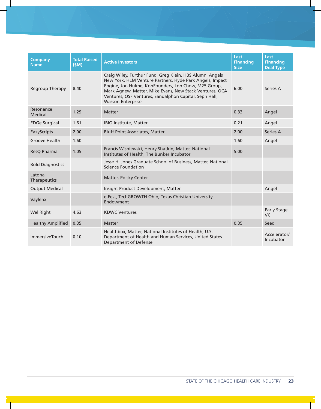| <b>Company</b><br><b>Name</b> | <b>Total Raised</b><br>(SM) | <b>Active Investors</b>                                                                                                                                                                                                                                                                                                       | Last<br><b>Financing</b><br><b>Size</b> | Last<br><b>Financing</b><br><b>Deal Type</b> |
|-------------------------------|-----------------------------|-------------------------------------------------------------------------------------------------------------------------------------------------------------------------------------------------------------------------------------------------------------------------------------------------------------------------------|-----------------------------------------|----------------------------------------------|
| Regroup Therapy               | 8.40                        | Craig Wiley, Furthur Fund, Greg Klein, HBS Alumni Angels<br>New York, HLM Venture Partners, Hyde Park Angels, Impact<br>Engine, Jon Hulme, KohFounders, Lon Chow, M25 Group,<br>Mark Agnew, Matter, Mike Evans, New Stack Ventures, OCA<br>Ventures, OSF Ventures, Sandalphon Capital, Seph Hall,<br><b>Wasson Enterprise</b> | 6.00                                    | Series A                                     |
| Resonance<br>Medical          | 1.29                        | <b>Matter</b>                                                                                                                                                                                                                                                                                                                 | 0.33                                    | Angel                                        |
| <b>EDGe Surgical</b>          | 1.61                        | <b>IBIO Institute, Matter</b>                                                                                                                                                                                                                                                                                                 | 0.21                                    | Angel                                        |
| EazyScripts                   | 2.00                        | <b>Bluff Point Associates, Matter</b>                                                                                                                                                                                                                                                                                         | 2.00                                    | Series A                                     |
| <b>Groove Health</b>          | 1.60                        |                                                                                                                                                                                                                                                                                                                               | 1.60                                    | Angel                                        |
| ResQ Pharma                   | 1.05                        | Francis Wisniewski, Henry Shatkin, Matter, National<br>5.00<br>Institutes of Health, The Bunker Incubator                                                                                                                                                                                                                     |                                         |                                              |
| <b>Bold Diagnostics</b>       |                             | Jesse H. Jones Graduate School of Business, Matter, National<br>Science Foundation                                                                                                                                                                                                                                            |                                         |                                              |
| Latona<br>Therapeutics        |                             | Matter, Polsky Center                                                                                                                                                                                                                                                                                                         |                                         |                                              |
| <b>Output Medical</b>         |                             | Insight Product Development, Matter                                                                                                                                                                                                                                                                                           |                                         | Angel                                        |
| Vaylenx                       |                             | e-Fest, TechGROWTH Ohio, Texas Christian University<br>Endowment                                                                                                                                                                                                                                                              |                                         |                                              |
| WellRight                     | 4.63                        | <b>KDWC Ventures</b>                                                                                                                                                                                                                                                                                                          |                                         | <b>Early Stage</b><br>VC.                    |
| <b>Healthy Amplified</b>      | 0.35                        | <b>Matter</b>                                                                                                                                                                                                                                                                                                                 | 0.35                                    | Seed                                         |
| <b>ImmersiveTouch</b>         | 0.10                        | Healthbox, Matter, National Institutes of Health, U.S.<br>Department of Health and Human Services, United States<br><b>Department of Defense</b>                                                                                                                                                                              |                                         | Accelerator/<br>Incubator                    |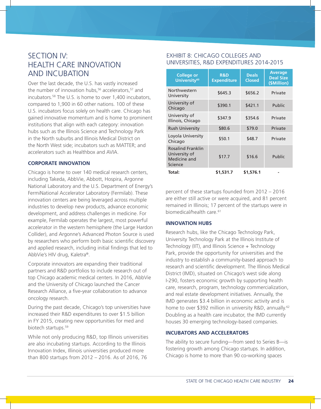# SECTION IV: HEALTH CARE INNOVATION AND INCUBATION

Over the last decade, the U.S. has vastly increased the number of innovation hubs,<sup>56</sup> accelerators,<sup>57</sup> and incubators.58 The U.S. is home to over 1,400 incubators, compared to 1,900 in 60 other nations. 100 of these U.S. incubators focus solely on health care. Chicago has gained innovative momentum and is home to prominent institutions that align with each category: innovation hubs such as the Illinois Science and Technology Park in the North suburbs and Illinois Medical District on the North West side; incubators such as MATTER; and accelerators such as Healthbox and AVIA.

#### **CORPORATE INNOVATION**

Chicago is home to over 140 medical research centers, including Takeda, AbbVie, Abbott, Hospira, Argonne National Laboratory and the U.S. Department of Energy's FermiNational Accelerator Laboratory (Fermilab). These innovation centers are being leveraged across multiple industries to develop new products, advance economic development, and address challenges in medicine. For example, Fermilab operates the largest, most powerful accelerator in the western hemisphere (the Large Hardon Collider), and Argonne's Advanced Photon Source is used by researchers who perform both basic scientific discovery and applied research, including initial findings that led to AbbVie's HIV drug, Kaletra®.

Corporate innovators are expanding their traditional partners and R&D portfolios to include research out of top Chicago academic medical centers. In 2016, AbbVie and the University of Chicago launched the Cancer Research Alliance, a five-year collaboration to advance oncology research.

During the past decade, Chicago's top universities have increased their R&D expenditures to over \$1.5 billion in FY 2015, creating new opportunities for med and biotech startups.<sup>59</sup>

While not only producing R&D, top Illinois universities are also incubating startups. According to the Illinois Innovation Index, Illinois universities produced more than 800 startups from 2012 – 2016. As of 2016, 76

### EXHIBIT 8: CHICAGO COLLEGES AND UNIVERSITIES, R&D EXPENDITURES 2014-2015

| <b>College or</b><br>University <sup>60</sup>                        | <b>R&amp;D</b><br><b>Expenditure</b> | <b>Deals</b><br><b>Closed</b> | <b>Average</b><br><b>Deal Size</b><br>(\$Million) |  |
|----------------------------------------------------------------------|--------------------------------------|-------------------------------|---------------------------------------------------|--|
| Northwestern<br>University                                           | \$645.3                              | \$656.2                       | Private                                           |  |
| University of<br>Chicago                                             | \$390.1                              | \$421.1                       | Public                                            |  |
| University of<br>Illinois, Chicago                                   | \$347.9                              | \$354.6                       | Private                                           |  |
| <b>Rush University</b>                                               | \$80.6                               | \$79.0                        | Private                                           |  |
| Loyola University<br>Chicago                                         | \$50.1                               | \$48.7                        | Private                                           |  |
| <b>Rosalind Franklin</b><br>University of<br>Medicine and<br>Science | \$17.7                               | \$16.6                        | Public                                            |  |
| Total:                                                               | \$1,531.7                            | \$1,576.1                     |                                                   |  |

percent of these startups founded from 2012 – 2016 are either still active or were acquired, and 81 percent remained in Illinois; 17 percent of the startups were in biomedical/health care.<sup>61</sup>

#### **INNOVATION HUBS**

Research hubs, like the Chicago Technology Park, University Technology Park at the Illinois Institute of Technology (IIT), and Illinois Science + Technology Park, provide the opportunity for universities and the industry to establish a community-based approach to research and scientific development. The Illinois Medical District (IMD), situated on Chicago's west side along I-290, fosters economic growth by supporting health care, research, program, technology commercialization, and real estate development initiatives. Annually, the IMD generates \$3.4 billion in economic activity and is home to over \$392 million in university R&D, annually.<sup>62</sup> Doubling as a health care incubator, the IMD currently houses 30 emerging technology-based companies.

#### **INCUBATORS AND ACCELERATORS**

The ability to secure funding—from seed to Series B—is fostering growth among Chicago startups. In addition, Chicago is home to more than 90 co-working spaces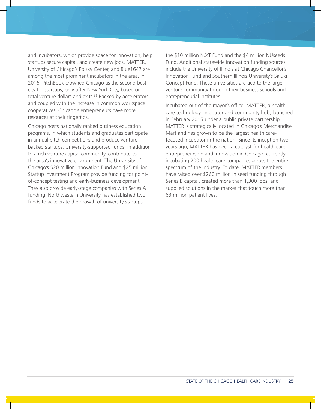and incubators, which provide space for innovation, help startups secure capital, and create new jobs. MATTER, University of Chicago's Polsky Center, and Blue1647 are among the most prominent incubators in the area. In 2016, PitchBook crowned Chicago as the second-best city for startups, only after New York City, based on total venture dollars and exits.<sup>63</sup> Backed by accelerators and coupled with the increase in common workspace cooperatives, Chicago's entrepreneurs have more resources at their fingertips.

Chicago hosts nationally ranked business education programs, in which students and graduates participate in annual pitch competitions and produce venturebacked startups. University-supported funds, in addition to a rich venture capital community, contribute to the area's innovative environment. The University of Chicago's \$20 million Innovation Fund and \$25 million Startup Investment Program provide funding for pointof-concept testing and early-business development. They also provide early-stage companies with Series A funding. Northwestern University has established two funds to accelerate the growth of university startups:

the \$10 million N.XT Fund and the \$4 million NUseeds Fund. Additional statewide innovation funding sources include the University of Illinois at Chicago Chancellor's Innovation Fund and Southern Illinois University's Saluki Concept Fund. These universities are tied to the larger venture community through their business schools and entrepreneurial institutes.

Incubated out of the mayor's office, MATTER, a health care technology incubator and community hub, launched in February 2015 under a public private partnership. MATTER is strategically located in Chicago's Merchandise Mart and has grown to be the largest health carefocused incubator in the nation. Since its inception two years ago, MATTER has been a catalyst for health care entrepreneurship and innovation in Chicago, currently incubating 200 health care companies across the entire spectrum of the industry. To date, MATTER members have raised over \$260 million in seed funding through Series B capital, created more than 1,300 jobs, and supplied solutions in the market that touch more than 63 million patient lives.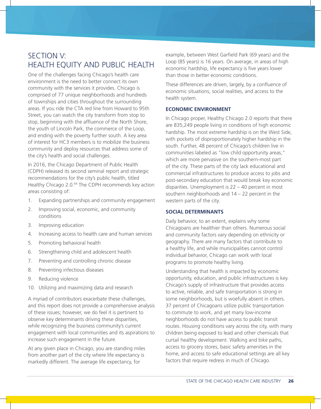# SECTION V: HEALTH EQUITY AND PUBLIC HEALTH

One of the challenges facing Chicago's health care environment is the need to better connect its own community with the services it provides. Chicago is comprised of 77 unique neighborhoods and hundreds of townships and cities throughout the surrounding areas. If you ride the CTA red line from Howard to 95th Street, you can watch the city transform from stop to stop, beginning with the affluence of the North Shore, the youth of Lincoln Park, the commerce of the Loop, and ending with the poverty further south. A key area of interest for HC3 members is to mobilize the business community and deploy resources that address some of the city's health and social challenges.

In 2016, the Chicago Department of Public Health (CDPH) released its second seminal report and strategic recommendations for the city's public health, titled Healthy Chicago 2.0.<sup>64</sup> The CDPH recommends key action areas consisting of:

- 1. Expanding partnerships and community engagement
- 2. Improving social, economic, and community conditions
- 3. Improving education
- 4. Increasing access to health care and human services
- 5. Promoting behavioral health
- 6. Strengthening child and adolescent health
- 7. Preventing and controlling chronic disease
- 8. Preventing infectious diseases
- 9. Reducing violence
- 10. Utilizing and maximizing data and research

A myriad of contributors exacerbate these challenges, and this report does not provide a comprehensive analysis of these issues; however, we do feel it is pertinent to observe key determinants driving these disparities, while recognizing the business community's current engagement with local communities and its aspirations to increase such engagement in the future.

At any given place in Chicago, you are standing miles from another part of the city where life expectancy is markedly different. The average life expectancy, for

example, between West Garfield Park (69 years) and the Loop (85 years) is 16 years. On average, in areas of high economic hardship, life expectancy is five years lower than those in better economic conditions.

These differences are driven, largely, by a confluence of economic situations, social realities, and access to the health system.

#### **ECONOMIC ENVIRONMENT**

In Chicago proper, Healthy Chicago 2.0 reports that there are 835,249 people living in conditions of high economic hardship. The most extreme hardship is on the West Side, with pockets of disproportionately higher hardship in the south. Further, 48 percent of Chicago's children live in communities labeled as "low child opportunity areas," which are more pervasive on the southern-most part of the city. These parts of the city lack educational and commercial infrastructures to produce access to jobs and post-secondary education that would break key economic disparities. Unemployment is 22 – 40 percent in most southern neighborhoods and 14 – 22 percent in the western parts of the city.

#### **SOCIAL DETERMINANTS**

Daily behavior, to an extent, explains why some Chicagoans are healthier than others. Numerous social and community factors vary depending on ethnicity or geography. There are many factors that contribute to a healthy life, and while municipalities cannot control individual behavior, Chicago can work with local programs to promote healthy living.

Understanding that health is impacted by economic opportunity, education, and public infrastructures is key. Chicago's supply of infrastructure that provides access to active, reliable, and safe transportation is strong in some neighborhoods, but is woefully absent in others. 37 percent of Chicagoans utilize public transportation to commute to work, and yet many low-income neighborhoods do not have access to public transit routes. Housing conditions vary across the city, with many children being exposed to lead and other chemicals that curtail healthy development. Walking and bike paths, access to grocery stores, basic safety amenities in the home, and access to safe educational settings are all key factors that require redress in much of Chicago.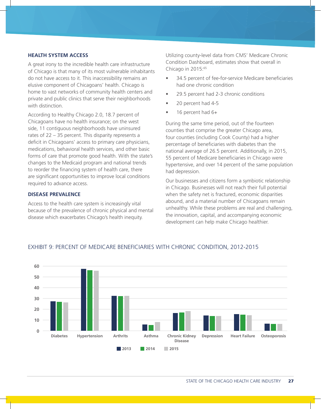#### **HEALTH SYSTEM ACCESS**

A great irony to the incredible health care infrastructure of Chicago is that many of its most vulnerable inhabitants do not have access to it. This inaccessibility remains an elusive component of Chicagoans' health. Chicago is home to vast networks of community health centers and private and public clinics that serve their neighborhoods with distinction.

According to Healthy Chicago 2.0, 18.7 percent of Chicagoans have no health insurance; on the west side, 11 contiguous neighborhoods have uninsured rates of 22 – 35 percent. This disparity represents a deficit in Chicagoans' access to primary care physicians, medications, behavioral health services, and other basic forms of care that promote good health. With the state's changes to the Medicaid program and national trends to reorder the financing system of health care, there are significant opportunities to improve local conditions required to advance access.

#### **DISEASE PREVALENCE**

Access to the health care system is increasingly vital because of the prevalence of chronic physical and mental disease which exacerbates Chicago's health inequity.

Utilizing county-level data from CMS' Medicare Chronic Condition Dashboard, estimates show that overall in Chicago in 2015:65

- 34.5 percent of fee-for-service Medicare beneficiaries had one chronic condition
- 29.5 percent had 2-3 chronic conditions
- 20 percent had 4-5
- 16 percent had 6+

During the same time period, out of the fourteen counties that comprise the greater Chicago area, four counties (including Cook County) had a higher percentage of beneficiaries with diabetes than the national average of 26.5 percent. Additionally, in 2015, 55 percent of Medicare beneficiaries in Chicago were hypertensive, and over 14 percent of the same population had depression.

Our businesses and citizens form a symbiotic relationship in Chicago. Businesses will not reach their full potential when the safety net is fractured, economic disparities abound, and a material number of Chicagoans remain unhealthy. While these problems are real and challenging, the innovation, capital, and accompanying economic development can help make Chicago healthier.



#### EXHIBIT 9: PERCENT OF MEDICARE BENEFICIARIES WITH CHRONIC CONDITION, 2012-2015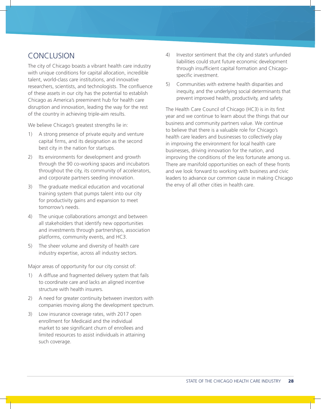# CONCLUSION

The city of Chicago boasts a vibrant health care industry with unique conditions for capital allocation, incredible talent, world-class care institutions, and innovative researchers, scientists, and technologists. The confluence of these assets in our city has the potential to establish Chicago as America's preeminent hub for health care disruption and innovation, leading the way for the rest of the country in achieving triple-aim results.

We believe Chicago's greatest strengths lie in:

- 1) A strong presence of private equity and venture capital firms, and its designation as the second best city in the nation for startups.
- 2) Its environments for development and growth through the 90 co-working spaces and incubators throughout the city, its community of accelerators, and corporate partners seeding innovation.
- 3) The graduate medical education and vocational training system that pumps talent into our city for productivity gains and expansion to meet tomorrow's needs.
- 4) The unique collaborations amongst and between all stakeholders that identify new opportunities and investments through partnerships, association platforms, community events, and HC3.
- 5) The sheer volume and diversity of health care industry expertise, across all industry sectors.

Major areas of opportunity for our city consist of:

- 1) A diffuse and fragmented delivery system that fails to coordinate care and lacks an aligned incentive structure with health insurers.
- 2) A need for greater continuity between investors with companies moving along the development spectrum.
- 3) Low insurance coverage rates, with 2017 open enrollment for Medicaid and the individual market to see significant churn of enrollees and limited resources to assist individuals in attaining such coverage.
- 4) Investor sentiment that the city and state's unfunded liabilities could stunt future economic development through insufficient capital formation and Chicagospecific investment.
- 5) Communities with extreme health disparities and inequity, and the underlying social determinants that prevent improved health, productivity, and safety.

The Health Care Council of Chicago (HC3) is in its first year and we continue to learn about the things that our business and community partners value. We continue to believe that there is a valuable role for Chicago's health care leaders and businesses to collectively play in improving the environment for local health care businesses, driving innovation for the nation, and improving the conditions of the less fortunate among us. There are manifold opportunities on each of these fronts and we look forward to working with business and civic leaders to advance our common cause in making Chicago the envy of all other cities in health care.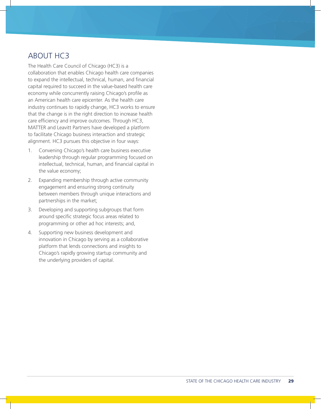# ABOUT HC3

The Health Care Council of Chicago (HC3) is a collaboration that enables Chicago health care companies to expand the intellectual, technical, human, and financial capital required to succeed in the value-based health care economy while concurrently raising Chicago's profile as an American health care epicenter. As the health care industry continues to rapidly change, HC3 works to ensure that the change is in the right direction to increase health care efficiency and improve outcomes. Through HC3, MATTER and Leavitt Partners have developed a platform to facilitate Chicago business interaction and strategic alignment. HC3 pursues this objective in four ways:

- 1. Convening Chicago's health care business executive leadership through regular programming focused on intellectual, technical, human, and financial capital in the value economy;
- 2. Expanding membership through active community engagement and ensuring strong continuity between members through unique interactions and partnerships in the market;
- 3. Developing and supporting subgroups that form around specific strategic focus areas related to programming or other ad hoc interests; and,
- 4. Supporting new business development and innovation in Chicago by serving as a collaborative platform that lends connections and insights to Chicago's rapidly growing startup community and the underlying providers of capital.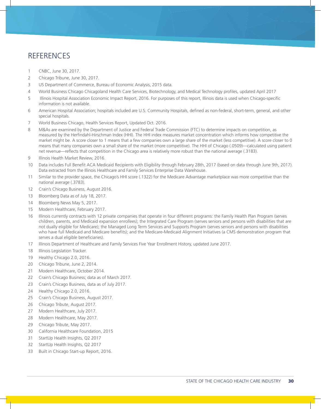# **REFERENCES**

- CNBC, June 30, 2017.
- Chicago Tribune, June 30, 2017.
- US Department of Commerce, Bureau of Economic Analysis, 2015 data.
- World Business Chicago Chicagoland Health Care Services, Biotechnology, and Medical Technology profiles, updated April 2017
- 5 Illinois Hospital Association Economic Impact Report, 2016. For purposes of this report, Illinois data is used when Chicago-specific information is not available.
- American Hospital Association; hospitals included are U.S. Community Hospitals, defined as non-federal, short-term, general, and other special hospitals.
- World Business Chicago, Health Services Report, Updated Oct. 2016.
- M&As are examined by the Department of Justice and Federal Trade Commission (FTC) to determine impacts on competition, as measured by the Herfindahl-Hirschman Index (HHI). The HHI index measures market concentration which informs how competitive the market might be. A score closer to 1 means that a few companies own a large share of the market (less competitive). A score closer to 0 means that many companies own a small share of the market (more competitive). The HHI of Chicago (.0509)—calculated using patient net revenue—reflects that competition in the Chicago area is relatively more robust than the national average (.3183).
- 9 Illinois Health Market Review, 2016.
- Data includes Full Benefit ACA Medicaid Recipients with Eligibility through February 28th, 2017 (based on data through June 9th, 2017). Data extracted from the Illinois Healthcare and Family Services Enterprise Data Warehouse.
- Similar to the provider space, the Chicago's HHI score (.1322) for the Medicare Advantage marketplace was more competitive than the national average (.3783).
- Crain's Chicago Business, August 2016.
- Bloomberg Data as of July 18, 2017.
- Bloomberg News May 5, 2017.
- Modern Healthcare, February 2017.
- Illinois currently contracts with 12 private companies that operate in four different programs: the Family Health Plan Program (serves children, parents, and Medicaid expansion enrollees); the Integrated Care Program (serves seniors and persons with disabilities that are not dually eligible for Medicare); the Managed Long Term Services and Supports Program (serves seniors and persons with disabilities who have full Medicaid and Medicare benefits); and the Medicare-Medicaid Alignment Initiatives (a CMS demonstration program that serves a dual eligible beneficiaries).
- Illinois Department of Healthcare and Family Services Five Year Enrollment History, updated June 2017.
- 18 Illinois Legislation Tracker.
- Healthy Chicago 2.0, 2016.
- Chicago Tribune, June 2, 2014.
- Modern Healthcare, October 2014.
- Crain's Chicago Business; data as of March 2017.
- Crain's Chicago Business, data as of July 2017.
- Healthy Chicago 2.0, 2016.
- Crain's Chicago Business, August 2017.
- Chicago Tribute, August 2017.
- Modern Healthcare, July 2017.
- Modern Healthcare, May 2017.
- Chicago Tribute, May 2017.
- California Healthcare Foundation, 2015
- StartUp Health Insights, Q2 2017
- StartUp Health Insights, Q2 2017
- Built in Chicago Start-up Report, 2016.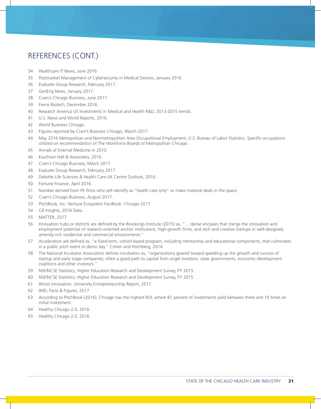# REFERENCES (CONT.)

- Healthcare IT News, June 2016
- Postmarket Management of Cybersecurity in Medical Devices, January 2016.
- Evaluate Group Research, February 2017.
- GenEng News, January 2017.
- Crain's Chicago Business, June 2017.
- Fierce Biotech, December 2016.
- Research America US Investments in Medical and Health R&D, 2013-2015 trends.
- U.S. News and World Reports, 2016.
- World Business Chicago.
- Figures reported by Crain's Business Chicago, March 2017.
- May 2016 Metropolitan and Nonmetropolitan Area Occupational Employment, U.S. Bureau of Labor Statistics. Specific occupations utilized on recommendation of The Workforce Boards of Metropolitan Chicago.
- Annals of Internal Medicine in 2010.
- Kaufman Hall & Associates, 2016.
- Crain's Chicago Business, March 2017.
- Evaluate Group Research, February 2017.
- Deloitte Life Sciences & Health Care UK Centre Outlook, 2016.
- Fortune Finance, April 2016.
- Number derived from PE firms who self-identify as "health care only" or make material deals in the space.
- Crain's Chicago Business, August 2017.
- PitchBook, Inc. Venture Ecosystem FactBook: Chicago 2017.
- CB Insights, 2016 Data.
- MATTER, 2017
- Innovation hubs or districts are defined by the Brookings Institute (2015) as, "… dense enclaves that merge the innovation and employment potential of research-oriented anchor institutions, high-growth firms, and tech and creative startups in well-designed, amenity-rich residential and commercial environments."
- Accelerators are defined as, "a fixed-term, cohort-based program, including mentorship and educational components, that culminates in a public pitch event or demo day." Cohen and Hochberg, 2014.
- The National Incubator Association defines incubators as, "organizations geared toward speeding up the growth and success of startup and early stage companies; often a good path to capital from angel investors, state governments, economic-development coalitions and other investors."
- NSF/NCSE Statistics, Higher Education Research and Development Survey, FY 2015.
- NSF/NCSE Statistics, Higher Education Research and Development Survey, FY 2015.
- Illinois Innovation, University Entrepreneurship Report, 2017.
- IMD, Facts & Figures, 2017
- According to PitchBook (2016), Chicago has the highest ROI, where 81 percent of investments yield between three and 10 times an initial investment.
- Healthy Chicago 2.0, 2016.
- Healthy Chicago 2.0, 2016.